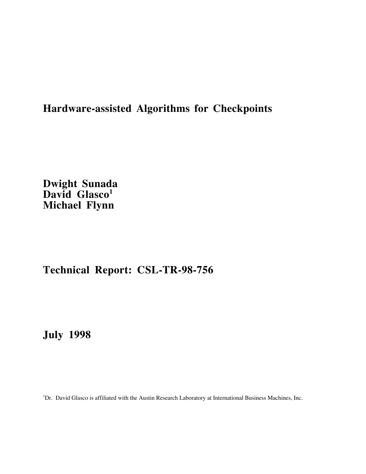# **Hardware-assisted Algorithms for Checkpoints**

**Dwight Sunada** David Glasco<sup>1</sup> **Michael Flynn**

# **Technical Report: CSL-TR-98-756**

**July 1998**

<sup>1</sup>Dr. David Glasco is affiliated with the Austin Research Laboratory at International Business Machines, Inc.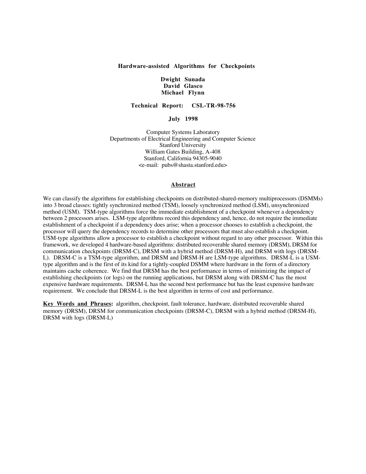# **Hardware-assisted Algorithms for Checkpoints**

# **Dwight Sunada David Glasco Michael Flynn**

**Technical Report: CSL-TR-98-756**

**July 1998**

Computer Systems Laboratory Departments of Electrical Engineering and Computer Science Stanford University William Gates Building, A-408 Stanford, California 94305-9040 <e-mail: pubs@shasta.stanford.edu>

# **Abstract**

We can classify the algorithms for establishing checkpoints on distributed-shared-memory multiprocessors (DSMMs) into 3 broad classes: tightly synchronized method (TSM), loosely synchronized method (LSM), unsynchronized method (USM). TSM-type algorithms force the immediate establishment of a checkpoint whenever a dependency between 2 processors arises. LSM-type algorithms record this dependency and, hence, do not require the immediate establishment of a checkpoint if a dependency does arise; when a processor chooses to establish a checkpoint, the processor will query the dependency records to determine other processors that must also establish a checkpoint. USM-type algorithms allow a processor to establish a checkpoint without regard to any other processor. Within this framework, we developed 4 hardware-based algorithms: distributed recoverable shared memory (DRSM), DRSM for communication checkpoints (DRSM-C), DRSM with a hybrid method (DRSM-H), and DRSM with logs (DRSM-L). DRSM-C is a TSM-type algorithm, and DRSM and DRSM-H are LSM-type algorithms. DRSM-L is a USMtype algorithm and is the first of its kind for a tightly-coupled DSMM where hardware in the form of a directory maintains cache coherence. We find that DRSM has the best performance in terms of minimizing the impact of establishing checkpoints (or logs) on the running applications, but DRSM along with DRSM-C has the most expensive hardware requirements. DRSM-L has the second best performance but has the least expensive hardware requirement. We conclude that DRSM-L is the best algorithm in terms of cost and performance.

Key Words and Phrases: algorithm, checkpoint, fault tolerance, hardware, distributed recoverable shared memory (DRSM), DRSM for communication checkpoints (DRSM-C), DRSM with a hybrid method (DRSM-H), DRSM with logs (DRSM-L)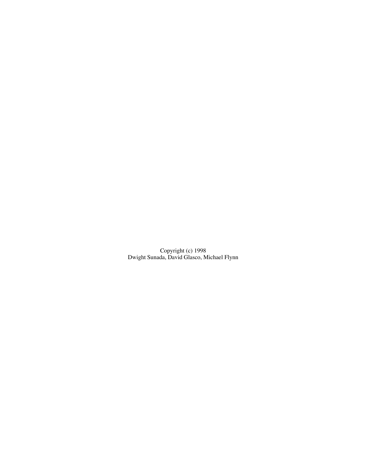Copyright (c) 1998 Dwight Sunada, David Glasco, Michael Flynn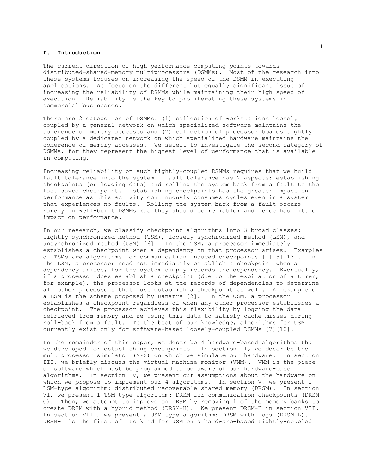# **I. Introduction**

The current direction of high-performance computing points towards distributed-shared-memory multiprocessors (DSMMs). Most of the research into these systems focuses on increasing the speed of the DSMM in executing applications. We focus on the different but equally significant issue of increasing the reliability of DSMMs while maintaining their high speed of execution. Reliability is the key to proliferating these systems in commercial businesses.

There are 2 categories of DSMMs: (1) collection of workstations loosely coupled by a general network on which specialized software maintains the coherence of memory accesses and (2) collection of processor boards tightly coupled by a dedicated network on which specialized hardware maintains the coherence of memory accesses. We select to investigate the second category of DSMMs, for they represent the highest level of performance that is available in computing.

Increasing reliability on such tightly-coupled DSMMs requires that we build fault tolerance into the system. Fault tolerance has 2 aspects: establishing checkpoints (or logging data) and rolling the system back from a fault to the last saved checkpoint. Establishing checkpoints has the greater impact on performance as this activity continuously consumes cycles even in a system that experiences no faults. Rolling the system back from a fault occurs rarely in well-built DSMMs (as they should be reliable) and hence has little impact on performance.

In our research, we classify checkpoint algorithms into 3 broad classes: tightly synchronized method (TSM), loosely synchronized method (LSM), and unsynchronized method (USM) [6]. In the TSM, a processor immediately establishes a checkpoint when a dependency on that processor arises. Examples of TSMs are algorithms for communication-induced checkpoints [1][5][13]. In the LSM, a processor need not immediately establish a checkpoint when a dependency arises, for the system simply records the dependency. Eventually, if a processor does establish a checkpoint (due to the expiration of a timer, for example), the processor looks at the records of dependencies to determine all other processors that must establish a checkpoint as well. An example of a LSM is the scheme proposed by Banatre [2]. In the USM, a processor establishes a checkpoint regardless of when any other processor establishes a checkpoint. The processor achieves this flexibility by logging the data retrieved from memory and re-using this data to satisfy cache misses during roll-back from a fault. To the best of our knowledge, algorithms for USM currently exist only for software-based loosely-coupled DSMMs [7][10].

In the remainder of this paper, we describe 4 hardware-based algorithms that we developed for establishing checkpoints. In section II, we describe the multiprocessor simulator (MPS) on which we simulate our hardware. In section III, we briefly discuss the virtual machine monitor (VMM). VMM is the piece of software which must be programmed to be aware of our hardware-based algorithms. In section IV, we present our assumptions about the hardware on which we propose to implement our 4 algorithms. In section V, we present 1 LSM-type algorithm: distributed recoverable shared memory (DRSM). In section VI, we present 1 TSM-type algorithm: DRSM for communication checkpoints (DRSM-C). Then, we attempt to improve on DRSM by removing 1 of the memory banks to create DRSM with a hybrid method (DRSM-H). We present DRSM-H in section VII. In section VIII, we present a USM-type algorithm: DRSM with logs (DRSM-L). DRSM-L is the first of its kind for USM on a hardware-based tightly-coupled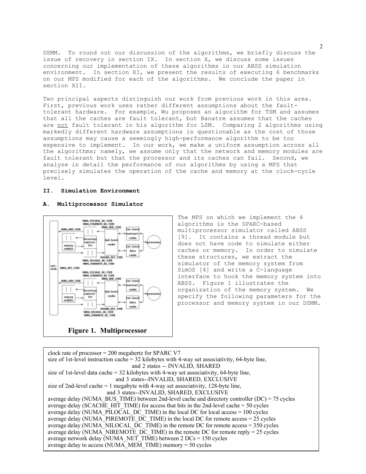DSMM. To round out our discussion of the algorithms, we briefly discuss the issue of recovery in section IX. In section X, we discuss some issues concerning our implementation of these algorithms in our ABSS simulation environment. In section XI, we present the results of executing 6 benchmarks on our MPS modified for each of the algorithms. We conclude the paper in section XII.

Two principal aspects distinguish our work from previous work in this area. First, previous work uses rather different assumptions about the faulttolerant hardware. For example, Wu proposes an algorithm for TSM and assumes that all the caches are fault tolerant, but Banatre assumes that the caches are not fault tolerant in his algorithm for LSM. Comparing 2 algorithms using markedly different hardware assumptions is questionable as the cost of those assumptions may cause a seemingly high-performance algorithm to be too expensive to implement. In our work, we make a uniform assumption across all the algorithms; namely, we assume only that the network and memory modules are fault tolerant but that the processor and its caches can fail. Second, we analyze in detail the performance of our algorithms by using a MPS that precisely simulates the operation of the cache and memory at the clock-cycle level.

#### **II. Simulation Environment**

# **A. Multiprocessor Simulator**



The MPS on which we implement the 4 algorithms is the SPARC-based multiprocessor simulator called ABSS [9]. It contains a thread module but does not have code to simulate either caches or memory. In order to simulate these structures, we extract the simulator of the memory system from SimOS [4] and write a C-language interface to hook the memory system into ABSS. Figure 1 illustrates the organization of the memory system. We specify the following parameters for the processor and memory system in our DSMM.

clock rate of processor = 200 megahertz for SPARC V7 size of 1st-level instruction cache  $=$  32 kilobytes with 4-way set associativity, 64-byte line, and 2 states -- INVALID, SHARED size of 1st-level data cache =  $32$  kilobytes with 4-way set associativity, 64-byte line, and 3 states--INVALID, SHARED, EXCLUSIVE size of 2nd-level cache = 1 megabyte with 4-way set associativity, 128-byte line, and 3 states--INVALID, SHARED, EXCLUSIVE average delay (NUMA\_BUS\_TIME) between 2nd-level cache and directory controller (DC) = 75 cycles average delay (SCACHE HIT TIME) for access that hits in the 2nd-level cache  $= 50$  cycles average delay (NUMA PILOCAL DC TIME) in the local DC for local access  $= 100$  cycles average delay (NUMA\_PIREMOTE\_DC\_TIME) in the local DC for remote access  $= 25$  cycles average delay (NUMA\_NILOCAL\_DC\_TIME) in the remote DC for remote access =  $350$  cycles average delay (NUMA<sup> $\overline{\phantom{a}}$ </sup>NIREMOTE DC TIME) in the remote DC for remote reply = 25 cycles average network delay (NUMA\_NET\_TIME) between 2 DCs = 150 cycles average delay to access (NUMA\_MEM\_TIME) memory = 50 cycles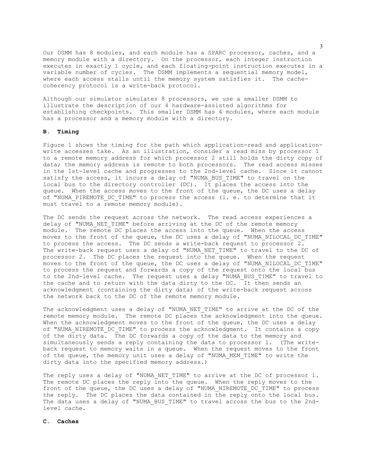Our DSMM has 8 modules, and each module has a SPARC processor, caches, and a memory module with a directory. On the processor, each integer instruction executes in exactly 1 cycle, and each floating-point instruction executes in a variable number of cycles. The DSMM implements a sequential memory model, where each access stalls until the memory system satisfies it. The cachecoherency protocol is a write-back protocol.

Although our simulator simulates 8 processors, we use a smaller DSMM to illustrate the description of our 4 hardware-assisted algorithms for establishing checkpoints. This smaller DSMM has 4 modules, where each module has a processor and a memory module with a directory.

# **B. Timing**

Figure 1 shows the timing for the path which application-read and applicationwrite accesses take. As an illustration, consider a read miss by processor 1 to a remote memory address for which processor 2 still holds the dirty copy of data; the memory address is remote to both processors. The read access misses in the 1st-level cache and progresses to the 2nd-level cache. Since it cannot satisfy the access, it incurs a delay of "NUMA BUS TIME" to travel on the local bus to the directory controller (DC). It places the access into the queue. When the access moves to the front of the queue, the DC uses a delay of "NUMA PIREMOTE DC TIME" to process the access (i. e. to determine that it must travel to a remote memory module).

The DC sends the request across the network. The read access experiences a delay of "NUMA NET TIME" before arriving at the DC of the remote memory module. The remote DC places the access into the queue. When the access moves to the front of the queue, the DC uses a delay of "NUMA\_NILOCAL\_DC\_TIME" to process the access. The DC sends a write-back request to processor  $2$ . The write-back request uses a delay of "NUMA NET TIME" to travel to the DC of processor 2. The DC places the request into the queue. When the request moves to the front of the queue, the DC uses a delay of "NUMA\_NILOCAL\_DC\_TIME" to process the request and forwards a copy of the request onto the local bus to the 2nd-level cache. The request uses a delay "NUMA\_BUS\_TIME" to travel to the cache and to return with the data dirty to the DC. It then sends an acknowledgment (containing the dirty data) of the write-back request across the network back to the DC of the remote memory module.

The acknowledgment uses a delay of "NUMA NET TIME" to arrive at the DC of the remote memory module. The remote DC places the acknowledgment into the queue. When the acknowledgment moves to the front of the queue, the DC uses a delay of "NUMA NIREMOTE DC TIME" to process the acknowledgment. It contains a copy of the  $\overline{divty}$  data. The DC forwards a copy of the data to the memory and simultaneously sends a reply containing the data to processor 1. (The writeback request to memory waits in a queue. When the request moves to the front of the queue, the memory unit uses a delay of "NUMA\_MEM\_TIME" to write the dirty data into the specified memory address.)

The reply uses a delay of "NUMA NET TIME" to arrive at the DC of processor 1. The remote DC places the reply into the queue. When the reply moves to the front of the queue, the DC uses a delay of "NUMA\_NIREMOTE\_DC\_TIME" to process the reply. The DC places the data contained in the reply onto the local bus. The data uses a delay of "NUMA\_BUS\_TIME" to travel across the bus to the 2ndlevel cache.

#### **C. Caches**

3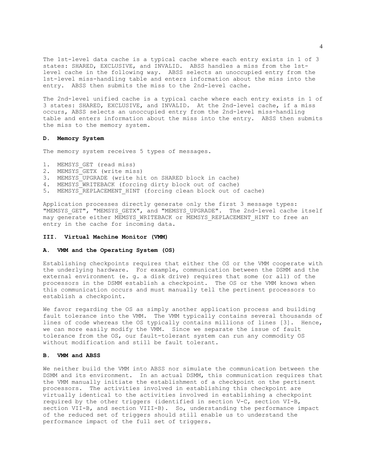The 1st-level data cache is a typical cache where each entry exists in 1 of 3 states: SHARED, EXCLUSIVE, and INVALID. ABSS handles a miss from the 1stlevel cache in the following way. ABSS selects an unoccupied entry from the 1st-level miss-handling table and enters information about the miss into the entry. ABSS then submits the miss to the 2nd-level cache.

The 2nd-level unified cache is a typical cache where each entry exists in 1 of 3 states: SHARED, EXCLUSIVE, and INVALID. At the 2nd-level cache, if a miss occurs, ABSS selects an unoccupied entry from the 2nd-level miss-handling table and enters information about the miss into the entry. ABSS then submits the miss to the memory system.

## **D. Memory System**

The memory system receives 5 types of messages.

- 1. MEMSYS\_GET (read miss)
- 2. MEMSYS<sup>CETX</sup> (write miss)
- 3. MEMSYS\_UPGRADE (write hit on SHARED block in cache)
- 4. MEMSYS\_WRITEBACK (forcing dirty block out of cache)
- 5. MEMSYS REPLACEMENT HINT (forcing clean block out of cache)

Application processes directly generate only the first 3 message types: "MEMSYS\_GET", "MEMSYS\_GETX", and "MEMSYS\_UPGRADE". The 2nd-level cache itself may generate either MEMSYS WRITEBACK or MEMSYS REPLACEMENT HINT to free an entry in the cache for incoming data.

# **III. Virtual Machine Monitor (VMM)**

#### **A. VMM and the Operating System (OS)**

Establishing checkpoints requires that either the OS or the VMM cooperate with the underlying hardware. For example, communication between the DSMM and the external environment (e. g. a disk drive) requires that some (or all) of the processors in the DSMM establish a checkpoint. The OS or the VMM knows when this communication occurs and must manually tell the pertinent processors to establish a checkpoint.

We favor regarding the OS as simply another application process and building fault tolerance into the VMM. The VMM typically contains several thousands of lines of code whereas the OS typically contains millions of lines [3]. Hence, we can more easily modify the VMM. Since we separate the issue of fault tolerance from the OS, our fault-tolerant system can run any commodity OS without modification and still be fault tolerant.

## **B. VMM and ABSS**

We neither build the VMM into ABSS nor simulate the communication between the DSMM and its environment. In an actual DSMM, this communication requires that the VMM manually initiate the establishment of a checkpoint on the pertinent processors. The activities involved in establishing this checkpoint are virtually identical to the activities involved in establishing a checkpoint required by the other triggers (identified in section V-C, section VI-B, section VII-B, and section VIII-B). So, understanding the performance impact of the reduced set of triggers should still enable us to understand the performance impact of the full set of triggers.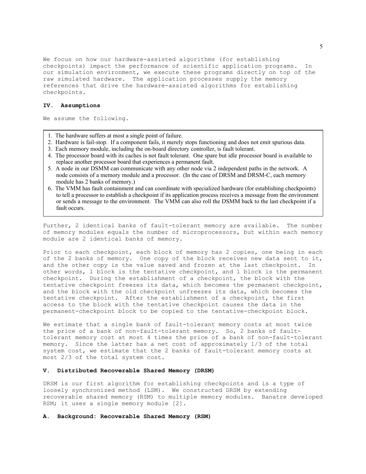We focus on how our hardware-assisted algorithms (for establishing checkpoints) impact the performance of scientific application programs. In our simulation environment, we execute these programs directly on top of the raw simulated hardware. The application processes supply the memory references that drive the hardware-assisted algorithms for establishing checkpoints.

#### **IV. Assumptions**

We assume the following.

- 1. The hardware suffers at most a single point of failure.
- 2. Hardware is fail-stop. If a component fails, it merely stops functioning and does not emit spurious data.
- 3. Each memory module, including the on-board directory controller, is fault tolerant.
- 4. The processor board with its caches is not fault tolerant. One spare but idle processor board is available to replace another processor board that experiences a permanent fault.
- 5. A node in our DSMM can communicate with any other node via 2 independent paths in the network. A node consists of a memory module and a processor. (In the case of DRSM and DRSM-C, each memory module has 2 banks of memory.)
- 6. The VMM has fault containment and can coordinate with specialized hardware (for establishing checkpoints) to tell a processor to establish a checkpoint if its application process receives a message from the environment or sends a message to the environment. The VMM can also roll the DSMM back to the last checkpoint if a fault occurs.

Further, 2 identical banks of fault-tolerant memory are available. The number of memory modules equals the number of microprocessors, but within each memory module are 2 identical banks of memory.

Prior to each checkpoint, each block of memory has 2 copies, one being in each of the 2 banks of memory. One copy of the block receives new data sent to it, and the other copy is the value saved and frozen at the last checkpoint. In other words, 1 block is the tentative checkpoint, and 1 block is the permanent checkpoint. During the establishment of a checkpoint, the block with the tentative checkpoint freezes its data, which becomes the permanent checkpoint, and the block with the old checkpoint unfreezes its data, which becomes the tentative checkpoint. After the establishment of a checkpoint, the first access to the block with the tentative checkpoint causes the data in the permanent-checkpoint block to be copied to the tentative-checkpoint block.

We estimate that a single bank of fault-tolerant memory costs at most twice the price of a bank of non-fault-tolerant memory. So, 2 banks of faulttolerant memory cost at most 4 times the price of a bank of non-fault-tolerant memory. Since the latter has a net cost of approximately 1/3 of the total system cost, we estimate that the 2 banks of fault-tolerant memory costs at most 2/3 of the total system cost.

# **V. Distributed Recoverable Shared Memory (DRSM)**

DRSM is our first algorithm for establishing checkpoints and is a type of loosely synchronized method (LSM). We constructed DRSM by extending recoverable shared memory (RSM) to multiple memory modules. Banatre developed RSM; it uses a single memory module [2].

**A. Background: Recoverable Shared Memory (RSM)**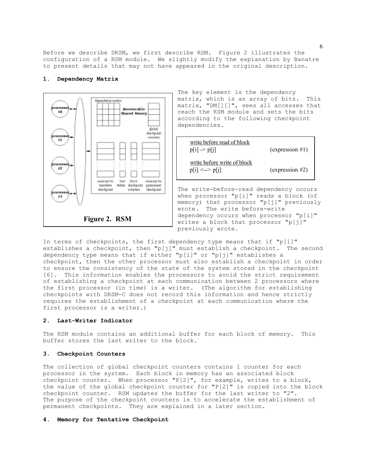Before we describe DRSM, we first describe RSM. Figure 2 illustrates the configuration of a RSM module. We slightly modify the explanation by Banatre to present details that may not have appeared in the original description.



## **1. Dependency Matrix**

The key element is the dependency matrix, which is an array of bits. This matrix, "DM[][]", sees all accesses that reach the RSM module and sets the bits according to the following checkpoint dependencies.



The write-before-read dependency occurs when processor "p[i]" reads a block (of memory) that processor "p[j]" previously wrote. The write before-write dependency occurs when processor "p[i]" writes a block that processor "p[j]" previously wrote.

In terms of checkpoints, the first dependency type means that if "p[i]" establishes a checkpoint, then "p[j]" must establish a checkpoint. The second dependency type means that if either "p[i]" or "p[j]" establishes a checkpoint, then the other processor must also establish a checkpoint in order to ensure the consistency of the state of the system stored in the checkpoint [6]. This information enables the processors to avoid the strict requirement of establishing a checkpoint at each communication between 2 processors where the first processor (in time) is a writer. (The algorithm for establishing checkpoints with DRSM-C does not record this information and hence strictly requires the establishment of a checkpoint at each communication where the first processor is a writer.)

# **2. Last-Writer Indicator**

The RSM module contains an additional buffer for each block of memory. This buffer stores the last writer to the block.

#### **3. Checkpoint Counters**

The collection of global checkpoint counters contains 1 counter for each processor in the system. Each block in memory has an associated block checkpoint counter. When processor "P[2]", for example, writes to a block, the value of the global checkpoint counter for "P[2]" is copied into the block checkpoint counter. RSM updates the buffer for the last writer to "2". The purpose of the checkpoint counters is to accelerate the establishment of permanent checkpoints. They are explained in a later section.

#### **4. Memory for Tentative Checkpoint**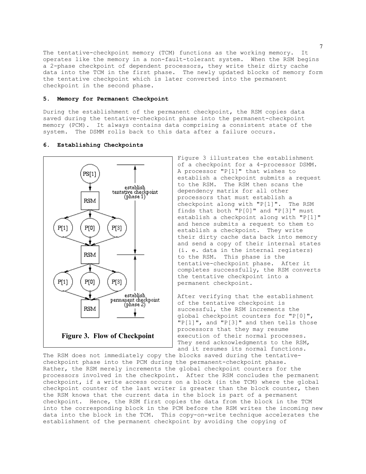The tentative-checkpoint memory (TCM) functions as the working memory. It operates like the memory in a non-fault-tolerant system. When the RSM begins a 2-phase checkpoint of dependent processors, they write their dirty cache data into the TCM in the first phase. The newly updated blocks of memory form the tentative checkpoint which is later converted into the permanent checkpoint in the second phase.

# **5. Memory for Permanent Checkpoint**

During the establishment of the permanent checkpoint, the RSM copies data saved during the tentative-checkpoint phase into the permanent-checkpoint memory (PCM). It always contains data comprising a consistent state of the system. The DSMM rolls back to this data after a failure occurs.

#### **6. Establishing Checkpoints**



Figure 3 illustrates the establishment of a checkpoint for a 4-processor DSMM. A processor "P[1]" that wishes to establish a checkpoint submits a request to the RSM. The RSM then scans the dependency matrix for all other processors that must establish a checkpoint along with "P[1]". The RSM finds that both "P[0]" and "P[3]" must establish a checkpoint along with "P[1]" and hence submits a request to them to establish a checkpoint. They write their dirty cache data back into memory and send a copy of their internal states (i. e. data in the internal registers) to the RSM. This phase is the tentative-checkpoint phase. After it completes successfully, the RSM converts the tentative checkpoint into a permanent checkpoint.

After verifying that the establishment of the tentative checkpoint is successful, the RSM increments the global checkpoint counters for "P[0]", "P[1]", and "P[3]" and then tells those processors that they may resume execution of their normal processes. They send acknowledgments to the RSM, and it resumes its normal functions.

The RSM does not immediately copy the blocks saved during the tentativecheckpoint phase into the PCM during the permanent-checkpoint phase. Rather, the RSM merely increments the global checkpoint counters for the processors involved in the checkpoint. After the RSM concludes the permanent checkpoint, if a write access occurs on a block (in the TCM) where the global checkpoint counter of the last writer is greater than the block counter, then the RSM knows that the current data in the block is part of a permanent checkpoint. Hence, the RSM first copies the data from the block in the TCM into the corresponding block in the PCM before the RSM writes the incoming new data into the block in the TCM. This copy-on-write technique accelerates the establishment of the permanent checkpoint by avoiding the copying of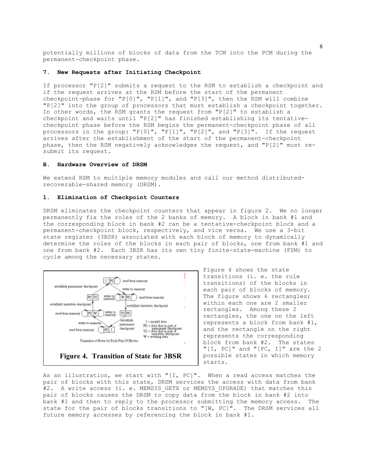potentially millions of blocks of data from the TCM into the PCM during the permanent-checkpoint phase.

# **7. New Requests after Initiating Checkpoint**

If processor "P[2]" submits a request to the RSM to establish a checkpoint and if the request arrives at the RSM before the start of the permanent checkpoint-phase for "P[0]", "P[1]", and "P[3]", then the RSM will combine "P[2]" into the group of processors that must establish a checkpoint together. In other words, the RSM grants the request from "P[2]" to establish a checkpoint and waits until "P[2]" has finished establishing its tentativecheckpoint phase before the RSM begins the permanent-checkpoint phase of all processors in the group: "P[0]", "P[1]", "P[2]", and "P[3]". If the request arrives after the establishment of the start of the permanent-checkpoint phase, then the RSM negatively acknowledges the request, and "P[2]" must resubmit its request.

# **B. Hardware Overview of DRSM**

We extend RSM to multiple memory modules and call our method distributedrecoverable-shared memory (DRSM).

# **1. Elimination of Checkpoint Counters**

DRSM eliminates the checkpoint counters that appear in figure 2. We no longer permanently fix the roles of the 2 banks of memory. A block in bank #1 and the corresponding block in bank #2 can be a tentative-checkpoint block and a permanent-checkpoint block, respectively, and vice versa. We use a 3-bit state register (3BSR) associated with each block of memory to dynamically determine the roles of the blocks in each pair of blocks, one from bank #1 and one from bank #2. Each 3BSR has its own tiny finite-state-machine (FSM) to cycle among the necessary states.



Figure 4 shows the state transitions (i. e. the role transitions) of the blocks in each pair of blocks of memory. The figure shows 6 rectangles; within each one are 2 smaller rectangles. Among these 2 rectangles, the one on the left represents a block from bank #1, and the rectangle on the right represents the corresponding block from bank #2. The states "[I, PC]" and "[PC, I]" are the 2 possible states in which memory starts.

As an illustration, we start with "[I, PC]". When a read access matches the pair of blocks with this state, DRSM services the access with data from bank #2. A write access (i. e. MEMSYS GETX or MEMSYS UPGRADE) that matches this pair of blocks causes the DRSM to copy data from the block in bank #2 into bank #1 and then to reply to the processor submitting the memory access. The state for the pair of blocks transitions to "[W, PC]". The DRSM services all future memory accesses by referencing the block in bank #1.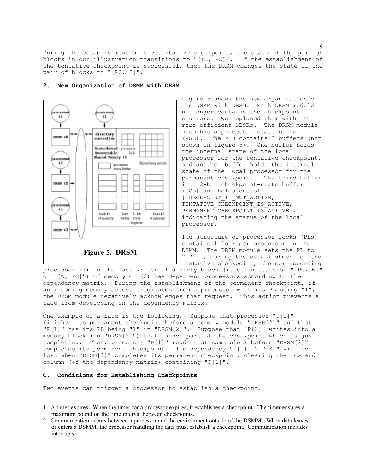During the establishment of the tentative checkpoint, the state of the pair of blocks in our illustration transitions to "[TC, PC]". If the establishment of the tentative checkpoint is successful, then the DRSM changes the state of the pair of blocks to "[PC, I]".



## **2. New Organization of DSMM with DRSM**

Figure 5 shows the new organization of the DSMM with DRSM. Each DRSM module no longer contains the checkpoint counters. We replaced them with the more efficient 3BSRs. The DRSM module also has a processor state buffer (PSB). The PSB contains 3 buffers (not shown in figure 5). One buffer holds the internal state of the local processor for the tentative checkpoint, and another buffer holds the internal state of the local processor for the permanent checkpoint. The third buffer is a 2-bit checkpoint-state buffer (CSB) and holds one of {CHECKPOINT\_IS\_NOT\_ACTIVE, TENTATIVE CHECKPOINT IS ACTIVE, PERMANENT\_CHECKPOINT\_IS\_ACTIVE }, indicating the status of the local processor.

The structure of processor locks (PLs) contains 1 lock per processor in the DSMM. The DRSM module sets the PL to "1" if, during the establishment of the tentative checkpoint, the corresponding

processor (1) is the last writer of a dirty block (i. e. in state of "[PC, W]" or "[W, PC]") of memory or (2) has dependent processors according to the dependency matrix. During the establishment of the permanent checkpoint, if an incoming memory access originates from a processor with its PL being "1", the DRSM module negatively acknowledges that request. This action prevents a race from developing on the dependency matrix.

One example of a race is the following. Suppose that processor "P[1]" finishes its permanent checkpoint before a memory module "DRSM[2]" and that "P[1]" has its PL being "1" in "DRSM[2]". Suppose that "P[3]" writes into a memory block (in "DRSM[2]") that is not part of the checkpoint which is just completing. Then, processor "P[1]" reads that same block before "DRSM[2]" completes its permanent checkpoint. The dependency "P[1] -> P[3]" will be lost when "DRSM[2]" completes its permanent checkpoint, clearing the row and column (of the dependency matrix) containing "P[1]".

# **C. Conditions for Establishing Checkpoints**

Two events can trigger a processor to establish a checkpoint.

- 1. A timer expires. When the timer for a processor expires, it establishes a checkpoint. The timer ensures a maximum bound on the time interval between checkpoints.
- 2. Communication occurs between a processor and the environment outside of the DSMM. When data leaves or enters a DSMM, the processor handling the data must establish a checkpoint. Communication includes interrupts.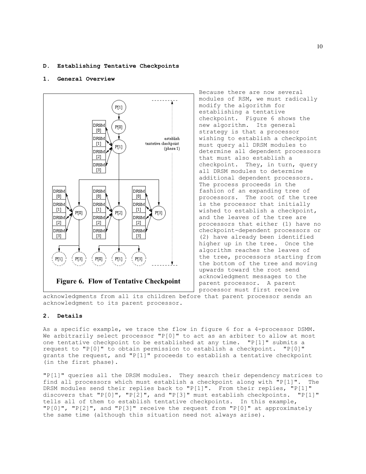## **D. Establishing Tentative Checkpoints**

# **1. General Overview**



Because there are now several modules of RSM, we must radically modify the algorithm for establishing a tentative checkpoint. Figure 6 shows the new algorithm. Its general strategy is that a processor wishing to establish a checkpoint must query all DRSM modules to determine all dependent processors that must also establish a checkpoint. They, in turn, query all DRSM modules to determine additional dependent processors. The process proceeds in the fashion of an expanding tree of processors. The root of the tree is the processor that initially wished to establish a checkpoint, and the leaves of the tree are processors that either (1) have no checkpoint-dependent processors or (2) have already been identified higher up in the tree. Once the algorithm reaches the leaves of the tree, processors starting from the bottom of the tree and moving upwards toward the root send acknowledgment messages to the parent processor. A parent processor must first receive

acknowledgments from all its children before that parent processor sends an acknowledgment to its parent processor.

# **2. Details**

As a specific example, we trace the flow in figure 6 for a 4-processor DSMM. We arbitrarily select processor "P[0]" to act as an arbiter to allow at most one tentative checkpoint to be established at any time. "P[1]" submits a request to "P[0]" to obtain permission to establish a checkpoint. "P[0]" grants the request, and "P[1]" proceeds to establish a tentative checkpoint (in the first phase).

"P[1]" queries all the DRSM modules. They search their dependency matrices to find all processors which must establish a checkpoint along with "P[1]". The DRSM modules send their replies back to "P[1]". From their replies, "P[1]" discovers that "P[0]", "P[2]", and "P[3]" must establish checkpoints. "P[1]" tells all of them to establish tentative checkpoints. In this example, "P[0]", "P[2]", and "P[3]" receive the request from "P[0]" at approximately the same time (although this situation need not always arise).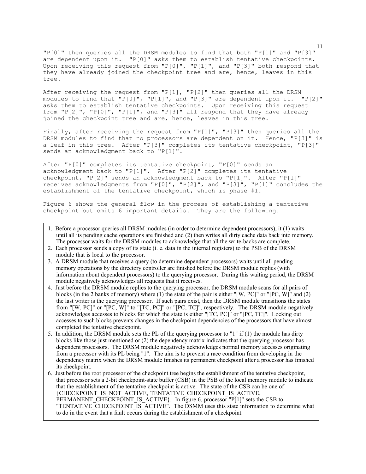"P[0]" then queries all the DRSM modules to find that both "P[1]" and "P[3]" are dependent upon it. "P[0]" asks them to establish tentative checkpoints. Upon receiving this request from "P[0]", "P[1]", and "P[3]" both respond that they have already joined the checkpoint tree and are, hence, leaves in this tree.

After receiving the request from "P[1], "P[2]" then queries all the DRSM modules to find that "P[0]", "P[1]", and "P[3]" are dependent upon it. "P[2]" asks them to establish tentative checkpoints. Upon receiving this request from  $"P[2]"$ ,  $"P[0]"$ ,  $"P[1]"$ , and  $"P[3]"$  all respond that they have already joined the checkpoint tree and are, hence, leaves in this tree.

Finally, after receiving the request from "P[1]", "P[3]" then queries all the DRSM modules to find that no processors are dependent on it. Hence, "P[3]" is a leaf in this tree. After "P[3]" completes its tentative checkpoint, "P[3]" sends an acknowledgment back to "P[1]".

After "P[0]" completes its tentative checkpoint, "P[0]" sends an acknowledgment back to "P[1]". After "P[2]" completes its tentative checkpoint, "P[2]" sends an acknowledgment back to "P[1]". After "P[1]" receives acknowledgments from "P[0]", "P[2]", and "P[3]", "P[1]" concludes the establishment of the tentative checkpoint, which is phase #1.

Figure 6 shows the general flow in the process of establishing a tentative checkpoint but omits 6 important details. They are the following.

- 1. Before a processor queries all DRSM modules (in order to determine dependent processors), it (1) waits until all its pending cache operations are finished and (2) then writes all dirty cache data back into memory. The processor waits for the DRSM modules to acknowledge that all the write-backs are complete.
- 2. Each processor sends a copy of its state (i. e. data in the internal registers) to the PSB of the DRSM module that is local to the processor.
- 3. A DRSM module that receives a query (to determine dependent processors) waits until all pending memory operations by the directory controller are finished before the DRSM module replies (with information about dependent processors) to the querying processor. During this waiting period, the DRSM module negatively acknowledges all requests that it receives.
- 4. Just before the DRSM module replies to the querying processor, the DRSM module scans for all pairs of blocks (in the 2 banks of memory) where (1) the state of the pair is either "[W, PC]" or "[PC, W]" and (2) the last writer is the querying processor. If such pairs exist, then the DRSM module transitions the states from "[W, PC]" or "[PC, W]" to "[TC, PC]" or "[PC, TC]", respectively. The DRSM module negatively acknowledges accesses to blocks for which the state is either "[TC, PC]" or "[PC, TC]". Locking out accesses to such blocks prevents changes in the checkpoint dependencies of the processors that have almost completed the tentative checkpoint.
- 5. In addition, the DRSM module sets the PL of the querying processor to "1" if (1) the module has dirty blocks like those just mentioned or (2) the dependency matrix indicates that the querying processor has dependent processors. The DRSM module negatively acknowledges normal memory accesses originating from a processor with its PL being "1". The aim is to prevent a race condition from developing in the dependency matrix when the DRSM module finishes its permanent checkpoint after a processor has finished its checkpoint.
- 6. Just before the root processor of the checkpoint tree begins the establishment of the tentative checkpoint, that processor sets a 2-bit checkpoint-state buffer (CSB) in the PSB of the local memory module to indicate that the establishment of the tentative checkpoint is active. The state of the CSB can be one of {CHECKPOINT\_IS\_NOT\_ACTIVE, TENTATIVE\_CHECKPOINT\_IS\_ACTIVE, PERMANENT CHECKPOINT IS ACTIVE}. In figure 6, processor "P[1]" sets the CSB to "TENTATIVE\_CHECKPOINT\_IS\_ACTIVE". The DSMM uses this state information to determine what to do in the event that a fault occurs during the establishment of a checkpoint.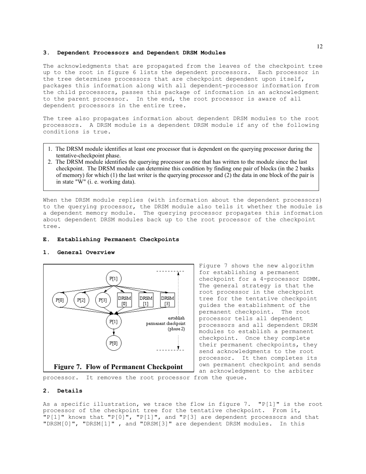#### **3. Dependent Processors and Dependent DRSM Modules**

The acknowledgments that are propagated from the leaves of the checkpoint tree up to the root in figure 6 lists the dependent processors. Each processor in the tree determines processors that are checkpoint dependent upon itself, packages this information along with all dependent-processor information from the child processors, passes this package of information in an acknowledgment to the parent processor. In the end, the root processor is aware of all dependent processors in the entire tree.

The tree also propagates information about dependent DRSM modules to the root processors. A DRSM module is a dependent DRSM module if any of the following conditions is true.

- 1. The DRSM module identifies at least one processor that is dependent on the querying processor during the tentative-checkpoint phase.
- 2. The DRSM module identifies the querying processor as one that has written to the module since the last checkpoint. The DRSM module can determine this condition by finding one pair of blocks (in the 2 banks of memory) for which (1) the last writer is the querying processor and (2) the data in one block of the pair is in state "W" (i. e. working data).

When the DRSM module replies (with information about the dependent processors) to the querying processor, the DRSM module also tells it whether the module is a dependent memory module. The querying processor propagates this information about dependent DRSM modules back up to the root processor of the checkpoint tree.

## **E. Establishing Permanent Checkpoints**

# **1. General Overview**



Figure 7 shows the new algorithm for establishing a permanent checkpoint for a 4-processor DSMM. The general strategy is that the root processor in the checkpoint tree for the tentative checkpoint guides the establishment of the permanent checkpoint. The root processor tells all dependent processors and all dependent DRSM modules to establish a permanent checkpoint. Once they complete their permanent checkpoints, they send acknowledgments to the root processor. It then completes its own permanent checkpoint and sends an acknowledgment to the arbiter

processor. It removes the root processor from the queue.

#### **2. Details**

As a specific illustration, we trace the flow in figure 7. "P[1]" is the root processor of the checkpoint tree for the tentative checkpoint. From it, "P[1]" knows that "P[0]", "P[1]", and "P[3] are dependent processors and that "DRSM[0]", "DRSM[1]" , and "DRSM[3]" are dependent DRSM modules. In this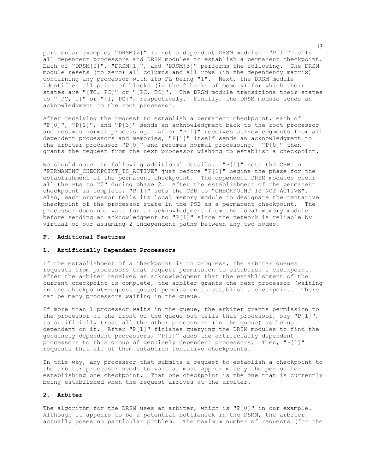particular example, "DRSM[2]" is not a dependent DRSM module. "P[1]" tells all dependent processors and DRSM modules to establish a permanent checkpoint. Each of "DRSM[0]", "DRSM[1]", and "DRSM[3]" performs the following. The DRSM module resets (to zero) all columns and all rows (in the dependency matrix) containing any processor with its PL being "1". Next, the DRSM module identifies all pairs of blocks (in the 2 banks of memory) for which their states are "[TC, PC]" or "[PC, TC]". The DRSM module transitions their states to "[PC, I]" or "[I, PC]", respectively. Finally, the DRSM module sends an acknowledgment to the root processor.

After receiving the request to establish a permanent checkpoint, each of "P[0]", "P[1]", and "P[3]" sends an acknowledgment back to the root processor and resumes normal processing. After "P[1]" receives acknowledgments from all dependent processors and memories, "P[1]" itself sends an acknowledgment to the arbiter processor "P[0]" and resumes normal processing. "P[0]" then grants the request from the next processor wishing to establish a checkpoint.

We should note the following additional details. "P[1]" sets the CSB to "PERMANENT CHECKPOINT IS ACTIVE" just before "P[1]" begins the phase for the establishment of the permanent checkpoint. The dependent DRSM modules clear all the PLs to "0" during phase 2. After the establishment of the permanent checkpoint is complete, "P[1]" sets the CSB to "CHECKPOINT IS NOT ACTIVE". Also, each processor tells its local memory module to designate the tentative checkpoint of the processor state in the PSB as a permanent checkpoint. The processor does not wait for an acknowledgment from the local memory module before sending an acknowledgment to "P[1]" since the network is reliable by virtual of our assuming 2 independent paths between any two nodes.

# **F. Additional Features**

# **1. Artificially Dependent Processors**

If the establishment of a checkpoint is in progress, the arbiter queues requests from processors that request permission to establish a checkpoint. After the arbiter receives an acknowledgment that the establishment of the current checkpoint is complete, the arbiter grants the next processor (waiting in the checkpoint-request queue) permission to establish a checkpoint. There can be many processors waiting in the queue.

If more than 1 processor waits in the queue, the arbiter grants permission to the processor at the front of the queue but tells that processor, say "P[1]", to artificially treat all the other processors (in the queue) as being dependent on it. After "P[1]" finishes querying the DRSM modules to find the genuinely dependent processors, "P[1]" adds the artificially dependent processors to this group of genuinely dependent processors. Then, "P[1]" requests that all of them establish tentative checkpoints.

In this way, any processor that submits a request to establish a checkpoint to the arbiter processor needs to wait at most approximately the period for establishing one checkpoint. That one checkpoint is the one that is currently being established when the request arrives at the arbiter.

# **2. Arbiter**

The algorithm for the DRSM uses an arbiter, which is "P[0]" in our example. Although it appears to be a potential bottleneck in the DSMM, the arbiter actually poses no particular problem. The maximum number of requests (for the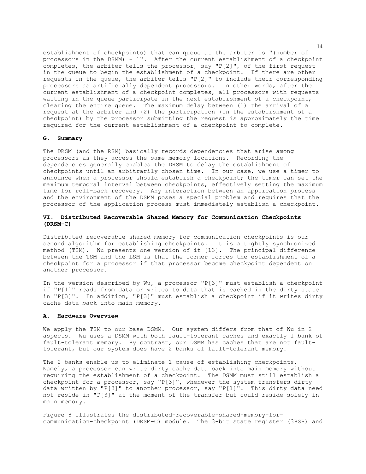establishment of checkpoints) that can queue at the arbiter is "(number of processors in the DSMM) - 1". After the current establishment of a checkpoint completes, the arbiter tells the processor, say "P[2]", of the first request in the queue to begin the establishment of a checkpoint. If there are other requests in the queue, the arbiter tells "P[2]" to include their corresponding processors as artificially dependent processors. In other words, after the current establishment of a checkpoint completes, all processors with requests waiting in the queue participate in the next establishment of a checkpoint, clearing the entire queue. The maximum delay between (1) the arrival of a request at the arbiter and (2) the participation (in the establishment of a checkpoint) by the processor submitting the request is approximately the time required for the current establishment of a checkpoint to complete.

#### **G. Summary**

The DRSM (and the RSM) basically records dependencies that arise among processors as they access the same memory locations. Recording the dependencies generally enables the DRSM to delay the establishment of checkpoints until an arbitrarily chosen time. In our case, we use a timer to announce when a processor should establish a checkpoint; the timer can set the maximum temporal interval between checkpoints, effectively setting the maximum time for roll-back recovery. Any interaction between an application process and the environment of the DSMM poses a special problem and requires that the processor of the application process must immediately establish a checkpoint.

# **VI. Distributed Recoverable Shared Memory for Communication Checkpoints (DRSM-C)**

Distributed recoverable shared memory for communication checkpoints is our second algorithm for establishing checkpoints. It is a tightly synchronized method (TSM). Wu presents one version of it [13]. The principal difference between the TSM and the LSM is that the former forces the establishment of a checkpoint for a processor if that processor become checkpoint dependent on another processor.

In the version described by Wu, a processor "P[3]" must establish a checkpoint if "P[1]" reads from data or writes to data that is cached in the dirty state in "P[3]". In addition, "P[3]" must establish a checkpoint if it writes dirty cache data back into main memory.

# **A. Hardware Overview**

We apply the TSM to our base DSMM. Our system differs from that of Wu in 2 aspects. Wu uses a DSMM with both fault-tolerant caches and exactly 1 bank of fault-tolerant memory. By contrast, our DSMM has caches that are not faulttolerant, but our system does have 2 banks of fault-tolerant memory.

The 2 banks enable us to eliminate 1 cause of establishing checkpoints. Namely, a processor can write dirty cache data back into main memory without requiring the establishment of a checkpoint. The DSMM must still establish a checkpoint for a processor, say "P[3]", whenever the system transfers dirty data written by "P[3]" to another processor, say "P[1]". This dirty data need not reside in "P[3]" at the moment of the transfer but could reside solely in main memory.

Figure 8 illustrates the distributed-recoverable-shared-memory-forcommunication-checkpoint (DRSM-C) module. The 3-bit state register (3BSR) and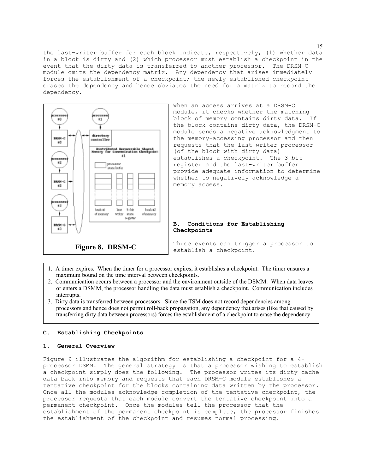the last-writer buffer for each block indicate, respectively, (1) whether data in a block is dirty and (2) which processor must establish a checkpoint in the event that the dirty data is transferred to another processor. The DRSM-C module omits the dependency matrix. Any dependency that arises immediately forces the establishment of a checkpoint; the newly established checkpoint erases the dependency and hence obviates the need for a matrix to record the dependency.



When an access arrives at a DRSM-C module, it checks whether the matching block of memory contains dirty data. If the block contains dirty data, the DRSM-C module sends a negative acknowledgment to the memory-accessing processor and then requests that the last-writer processor (of the block with dirty data) establishes a checkpoint. The 3-bit register and the last-writer buffer provide adequate information to determine whether to negatively acknowledge a memory access.

## **B. Conditions for Establishing Checkpoints**

Three events can trigger a processor to establish a checkpoint.

- 1. A timer expires. When the timer for a processor expires, it establishes a checkpoint. The timer ensures a maximum bound on the time interval between checkpoints.
- 2. Communication occurs between a processor and the environment outside of the DSMM. When data leaves or enters a DSMM, the processor handling the data must establish a checkpoint. Communication includes interrupts.
- 3. Dirty data is transferred between processors. Since the TSM does not record dependencies among processors and hence does not permit roll-back propagation, any dependency that arises (like that caused by transferring dirty data between processors) forces the establishment of a checkpoint to erase the dependency.

## **C. Establishing Checkpoints**

# **1. General Overview**

Figure 9 illustrates the algorithm for establishing a checkpoint for a 4 processor DSMM. The general strategy is that a processor wishing to establish a checkpoint simply does the following. The processor writes its dirty cache data back into memory and requests that each DRSM-C module establishes a tentative checkpoint for the blocks containing data written by the processor. Once all the modules acknowledge completion of the tentative checkpoint, the processor requests that each module convert the tentative checkpoint into a permanent checkpoint. Once the modules tell the processor that the establishment of the permanent checkpoint is complete, the processor finishes the establishment of the checkpoint and resumes normal processing.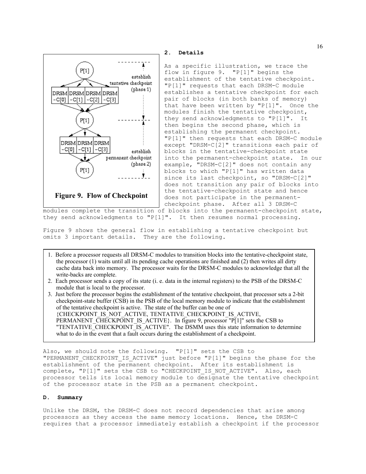

**2. Details**

As a specific illustration, we trace the flow in figure 9. "P[1]" begins the establishment of the tentative checkpoint. "P[1]" requests that each DRSM-C module establishes a tentative checkpoint for each pair of blocks (in both banks of memory) that have been written by "P[1]". Once the modules finish the tentative checkpoint, they send acknowledgments to "P[1]". It then begins the second phase, which is establishing the permanent checkpoint. "P[1]" then requests that each DRSM-C module except "DRSM-C[2]" transitions each pair of blocks in the tentative-checkpoint state into the permanent-checkpoint state. In our example, "DRSM-C[2]" does not contain any blocks to which "P[1]" has written data since its last checkpoint, so "DRSM-C[2]" does not transition any pair of blocks into the tentative-checkpoint state and hence does not participate in the permanentcheckpoint phase. After all 3 DRSM-C

modules complete the transition of blocks into the permanent-checkpoint state, they send acknowledgments to "P[1]". It then resumes normal processing.

Figure 9 shows the general flow in establishing a tentative checkpoint but omits 3 important details. They are the following.

- 1. Before a processor requests all DRSM-C modules to transition blocks into the tentative-checkpoint state, the processor (1) waits until all its pending cache operations are finished and (2) then writes all dirty cache data back into memory. The processor waits for the DRSM-C modules to acknowledge that all the write-backs are complete.
- 2. Each processor sends a copy of its state (i. e. data in the internal registers) to the PSB of the DRSM-C module that is local to the processor.

3. Just before the processor begins the establishment of the tentative checkpoint, that processor sets a 2-bit checkpoint-state buffer (CSB) in the PSB of the local memory module to indicate that the establishment of the tentative checkpoint is active. The state of the buffer can be one of {CHECKPOINT\_IS\_NOT\_ACTIVE, TENTATIVE\_CHECKPOINT\_IS\_ACTIVE, PERMANENT\_CHECKPOINT\_IS\_ACTIVE}. In figure 9, processor "P[1]" sets the CSB to "TENTATIVE\_CHECKPOINT\_IS\_ACTIVE". The DSMM uses this state information to determine what to do in the event that a fault occurs during the establishment of a checkpoint.

Also, we should note the following. "P[1]" sets the CSB to "PERMANENT\_CHECKPOINT\_IS\_ACTIVE" just before "P[1]" begins the phase for the establishment of the permanent checkpoint. After its establishment is complete, "P[1]" sets the CSB to "CHECKPOINT IS NOT ACTIVE". Also, each processor tells its local memory module to designate the tentative checkpoint of the processor state in the PSB as a permanent checkpoint.

#### **D. Summary**

Unlike the DRSM, the DRSM-C does not record dependencies that arise among processors as they access the same memory locations. Hence, the DRSM-C requires that a processor immediately establish a checkpoint if the processor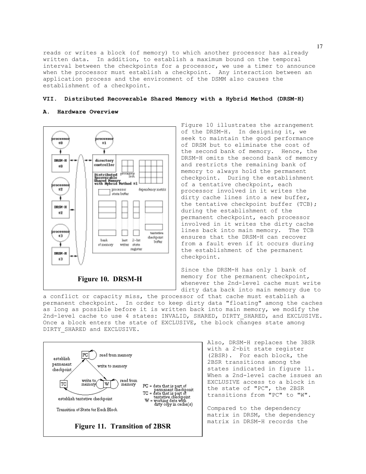reads or writes a block (of memory) to which another processor has already written data. In addition, to establish a maximum bound on the temporal interval between the checkpoints for a processor, we use a timer to announce when the processor must establish a checkpoint. Any interaction between an application process and the environment of the DSMM also causes the establishment of a checkpoint.

# **VII. Distributed Recoverable Shared Memory with a Hybrid Method (DRSM-H)**

#### **A. Hardware Overview**



Figure 10 illustrates the arrangement of the DRSM-H. In designing it, we seek to maintain the good performance of DRSM but to eliminate the cost of the second bank of memory. Hence, the DRSM-H omits the second bank of memory and restricts the remaining bank of memory to always hold the permanent checkpoint. During the establishment of a tentative checkpoint, each processor involved in it writes the dirty cache lines into a new buffer, the tentative checkpoint buffer (TCB); during the establishment of the permanent checkpoint, each processor involved in it writes the dirty cache lines back into main memory. The TCB ensures that the DRSM-H can recover from a fault even if it occurs during the establishment of the permanent checkpoint.

Since the DRSM-H has only 1 bank of memory for the permanent checkpoint, whenever the 2nd-level cache must write dirty data back into main memory due to

a conflict or capacity miss, the processor of that cache must establish a permanent checkpoint. In order to keep dirty data "floating" among the caches as long as possible before it is written back into main memory, we modify the 2nd-level cache to use 4 states: INVALID, SHARED, DIRTY SHARED, and EXCLUSIVE. Once a block enters the state of EXCLUSIVE, the block changes state among DIRTY SHARED and EXCLUSIVE.



Also, DRSM-H replaces the 3BSR with a 2-bit state register (2BSR). For each block, the 2BSR transitions among the states indicated in figure 11. When a 2nd-level cache issues an EXCLUSIVE access to a block in the state of "PC", the 2BSR transitions from "PC" to "W".

Compared to the dependency matrix in DRSM, the dependency matrix in DRSM-H records the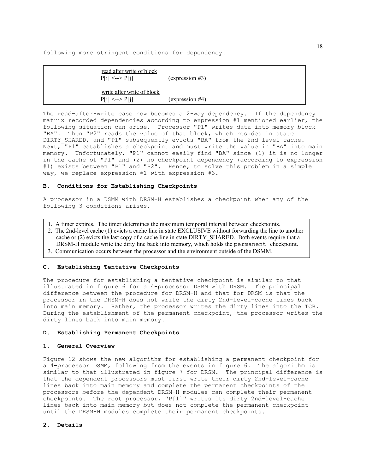following more stringent conditions for dependency.

| read after write of block<br>$P[i] \leq P[i]$  | $(expression \#3)$ |  |  |
|------------------------------------------------|--------------------|--|--|
| write after write of block<br>$P[i] \leq P[i]$ | (expression #4)    |  |  |

The read-after-write case now becomes a 2-way dependency. If the dependency matrix recorded dependencies according to expression #1 mentioned earlier, the following situation can arise. Processor "P1" writes data into memory block "BA". Then "P2" reads the value of that block, which resides in state DIRTY SHARED, and "P1" subsequently evicts "BA" from the 2nd-level cache. Next, "P1" establishes a checkpoint and must write the value in "BA" into main memory. Unfortunately, "P1" cannot easily find "BA" since (1) it is no longer in the cache of "P1" and (2) no checkpoint dependency (according to expression #1) exists between "P1" and "P2". Hence, to solve this problem in a simple way, we replace expression #1 with expression #3.

## **B. Conditions for Establishing Checkpoints**

A processor in a DSMM with DRSM-H establishes a checkpoint when any of the following 3 conditions arises.

- 1. A timer expires. The timer determines the maximum temporal interval between checkpoints.
- 2. The 2nd-level cache (1) evicts a cache line in state EXCLUSIVE without forwarding the line to another cache or (2) evicts the last copy of a cache line in state DIRTY\_SHARED. Both events require that a DRSM-H module write the dirty line back into memory, which holds the permanent checkpoint.
- 3. Communication occurs between the processor and the environment outside of the DSMM.

# **C. Establishing Tentative Checkpoints**

The procedure for establishing a tentative checkpoint is similar to that illustrated in figure 6 for a 4-processor DSMM with DRSM. The principal difference between the procedure for DRSM-H and that for DRSM is that the processor in the DRSM-H does not write the dirty 2nd-level-cache lines back into main memory. Rather, the processor writes the dirty lines into the TCB. During the establishment of the permanent checkpoint, the processor writes the dirty lines back into main memory.

#### **D. Establishing Permanent Checkpoints**

# **1. General Overview**

Figure 12 shows the new algorithm for establishing a permanent checkpoint for a 4-processor DSMM, following from the events in figure 6. The algorithm is similar to that illustrated in figure 7 for DRSM. The principal difference is that the dependent processors must first write their dirty 2nd-level-cache lines back into main memory and complete the permanent checkpoints of the processors before the dependent DRSM-H modules can complete their permanent checkpoints. The root processor, "P[1]" writes its dirty 2nd-level-cache lines back into main memory but does not complete the permanent checkpoint until the DRSM-H modules complete their permanent checkpoints.

# **2. Details**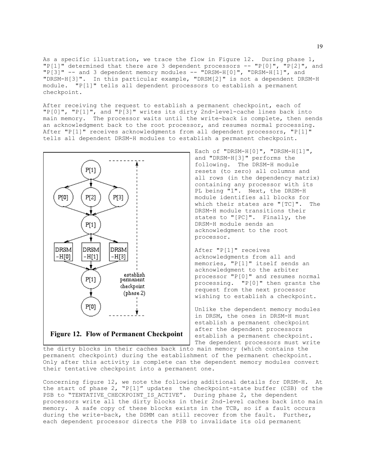As a specific illustration, we trace the flow in Figure 12. During phase 1, "P[1]" determined that there are 3 dependent processors -- "P[0]", "P[2]", and  $"P[3]" -- and 3 dependent memory modules -- "DRSM-H[0]", "DRSM-H[1]", and$ "DRSM-H[3]". In this particular example, "DRSM[2]" is not a dependent DRSM-H module. "P[1]" tells all dependent processors to establish a permanent checkpoint.

After receiving the request to establish a permanent checkpoint, each of "P[0]", "P[1]", and "P[3]" writes its dirty 2nd-level-cache lines back into main memory. The processor waits until the write-back is complete, then sends an acknowledgment back to the root processor, and resumes normal processing. After "P[1]" receives acknowledgments from all dependent processors, "P[1]" tells all dependent DRSM-H modules to establish a permanent checkpoint.



Each of "DRSM-H[0]", "DRSM-H[1]", and "DRSM-H[3]" performs the following. The DRSM-H module resets (to zero) all columns and all rows (in the dependency matrix) containing any processor with its PL being "1". Next, the DRSM-H module identifies all blocks for which their states are "[TC]". The DRSM-H module transitions their states to "[PC]". Finally, the DRSM-H module sends an acknowledgment to the root processor.

After "P[1]" receives acknowledgments from all and memories, "P[1]" itself sends an acknowledgment to the arbiter processor "P[0]" and resumes normal processing. "P[0]" then grants the request from the next processor wishing to establish a checkpoint.

Unlike the dependent memory modules in DRSM, the ones in DRSM-H must establish a permanent checkpoint after the dependent processors establish a permanent checkpoint. The dependent processors must write

the dirty blocks in their caches back into main memory (which contains the permanent checkpoint) during the establishment of the permanent checkpoint. Only after this activity is complete can the dependent memory modules convert their tentative checkpoint into a permanent one.

Concerning figure 12, we note the following additional details for DRSM-H. At the start of phase 2, "P[1]" updates the checkpoint-state buffer (CSB) of the PSB to "TENTATIVE CHECKPOINT IS ACTIVE". During phase 2, the dependent processors write all the dirty blocks in their 2nd-level caches back into main memory. A safe copy of these blocks exists in the TCB, so if a fault occurs during the write-back, the DSMM can still recover from the fault. Further, each dependent processor directs the PSB to invalidate its old permanent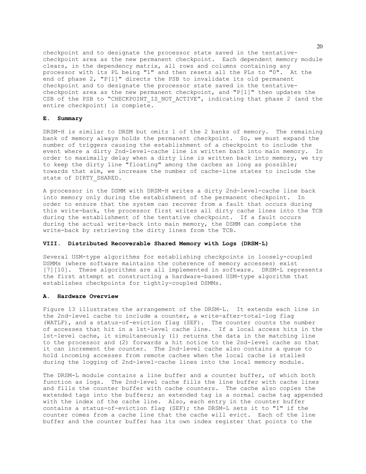checkpoint and to designate the processor state saved in the tentativecheckpoint area as the new permanent checkpoint. Each dependent memory module clears, in the dependency matrix, all rows and columns containing any processor with its PL being "1" and then resets all the PLs to "0". At the end of phase 2, "P[1]" directs the PSB to invalidate its old permanent checkpoint and to designate the processor state saved in the tentativecheckpoint area as the new permanent checkpoint, and "P[1]" then updates the CSB of the PSB to "CHECKPOINT IS NOT ACTIVE", indicating that phase 2 (and the entire checkpoint) is complete.

# **E. Summary**

DRSM-H is similar to DRSM but omits 1 of the 2 banks of memory. The remaining bank of memory always holds the permanent checkpoint. So, we must expand the number of triggers causing the establishment of a checkpoint to include the event where a dirty 2nd-level-cache line is written back into main memory. In order to maximally delay when a dirty line is written back into memory, we try to keep the dirty line "floating" among the caches as long as possible; towards that aim, we increase the number of cache-line states to include the state of DIRTY SHARED.

A processor in the DSMM with DRSM-H writes a dirty 2nd-level-cache line back into memory only during the estabishment of the permanent checkpoint. In order to ensure that the system can recover from a fault that occurs during this write-back, the processor first writes all dirty cache lines into the TCB during the establishment of the tentative checkpoint. If a fault occurs during the actual write-back into main memory, the DSMM can complete the write-back by retrieving the dirty lines from the TCB.

# **VIII. Distributed Recoverable Shared Memory with Logs (DRSM-L)**

Several USM-type algorithms for establishing checkpoints in loosely-coupled DSMMs (where software maintains the coherence of memory accesses) exist [7][10]. These algorithms are all implemented in software. DRSM-L represents the first attempt at constructing a hardware-based USM-type algorithm that establishes checkpoints for tightly-coupled DSMMs.

# **A. Hardware Overview**

Figure 13 illustrates the arrangement of the DRSM-L. It extends each line in the 2nd-level cache to include a counter, a write-after-total-log flag (WATLF), and a status-of-eviction flag (SEF). The counter counts the number of accesses that hit in a 1st-level cache line. If a local access hits in the 1st-level cache, it simultaneously (1) returns the data in the matching line to the processor and (2) forwards a hit notice to the 2nd-level cache so that it can increment the counter. The 2nd-level cache also contains a queue to hold incoming accesses from remote caches when the local cache is stalled during the logging of 2nd-level-cache lines into the local memory module.

The DRSM-L module contains a line buffer and a counter buffer, of which both function as logs. The 2nd-level cache fills the line buffer with cache lines and fills the counter buffer with cache counters. The cache also copies the extended tags into the buffers; an extended tag is a normal cache tag appended with the index of the cache line. Also, each entry in the counter buffer contains a status-of-eviction flag (SEF); the DRSM-L sets it to "1" if the counter comes from a cache line that the cache will evict. Each of the line buffer and the counter buffer has its own index register that points to the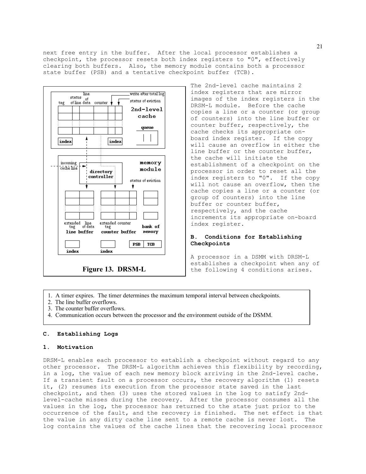next free entry in the buffer. After the local processor establishes a checkpoint, the processor resets both index registers to "0", effectively clearing both buffers. Also, the memory module contains both a processor state buffer (PSB) and a tentative checkpoint buffer (TCB).



The 2nd-level cache maintains 2 index registers that are mirror images of the index registers in the DRSM-L module. Before the cache copies a line or a counter (or group of counters) into the line buffer or counter buffer, respectively, the cache checks its appropriate onboard index register. If the copy will cause an overflow in either the line buffer or the counter buffer, the cache will initiate the establishment of a checkpoint on the processor in order to reset all the index registers to "0". If the copy will not cause an overflow, then the cache copies a line or a counter (or group of counters) into the line buffer or counter buffer, respectively, and the cache increments its appropriate on-board index register.

# **B. Conditions for Establishing Checkpoints**

A processor in a DSMM with DRSM-L establishes a checkpoint when any of the following 4 conditions arises.

- 1. A timer expires. The timer determines the maximum temporal interval between checkpoints.
- 2. The line buffer overflows.
- 3. The counter buffer overflows.
- 4. Communication occurs between the processor and the environment outside of the DSMM.

#### **C. Establishing Logs**

### **1. Motivation**

DRSM-L enables each processor to establish a checkpoint without regard to any other processor. The DRSM-L algorithm achieves this flexibility by recording, in a log, the value of each new memory block arriving in the 2nd-level cache. If a transient fault on a processor occurs, the recovery algorithm (1) resets it, (2) resumes its execution from the processor state saved in the last checkpoint, and then (3) uses the stored values in the log to satisfy 2ndlevel-cache misses during the recovery. After the processor consumes all the values in the log, the processor has returned to the state just prior to the occurrence of the fault, and the recovery is finished. The net effect is that the value in any dirty cache line sent to a remote cache is never lost. The log contains the values of the cache lines that the recovering local processor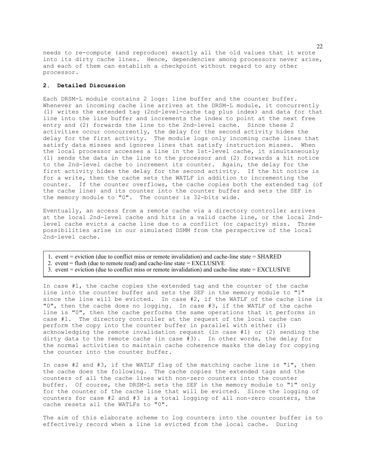needs to re-compute (and reproduce) exactly all the old values that it wrote into its dirty cache lines. Hence, dependencies among processors never arise, and each of them can establish a checkpoint without regard to any other processor.

# **2. Detailed Discussion**

Each DRSM-L module contains 2 logs: line buffer and the counter buffer. Whenever an incoming cache line arrives at the DRSM-L module, it concurrently (1) writes the extended tag (2nd-level-cache tag plus index) and data for that line into the line buffer and increments the index to point at the next free entry and (2) forwards the line to the 2nd-level cache. Since these 2 activities occur concurrently, the delay for the second activity hides the delay for the first activity. The module logs only incoming cache lines that satisfy data misses and ignores lines that satisfy instruction misses. When the local processor accesses a line in the 1st-level cache, it simultaneously (1) sends the data in the line to the processor and (2) forwards a hit notice to the 2nd-level cache to increment its counter. Again, the delay for the first activity hides the delay for the second activity. If the hit notice is for a write, then the cache sets the WATLF in addition to incrementing the counter. If the counter overflows, the cache copies both the extended tag (of the cache line) and its counter into the counter buffer and sets the SEF in the memory module to "0". The counter is 32-bits wide.

Eventually, an access from a remote cache via a directory controller arrives at the local 2nd-level cache and hits in a valid cache line, or the local 2ndlevel cache evicts a cache line due to a conflict (or capacity) miss. Three possibilities arise in our simulated DSMM from the perspective of the local 2nd-level cache.

- 1. event = eviction (due to conflict miss or remote invalidation) and cache-line state = SHARED
- 2. event  $=$  flush (due to remote read) and cache-line state  $=$  EXCLUSIVE
- 3. event = eviction (due to conflict miss or remote invalidation) and cache-line state = EXCLUSIVE

In case #1, the cache copies the extended tag and the counter of the cache line into the counter buffer and sets the SEF in the memory module to "1" since the line will be evicted. In case #2, if the WATLF of the cache line is "0", then the cache does no logging. In case #3, if the WATLF of the cache line is "0", then the cache performs the same operations that it performs in case #1. The directory controller at the request of the local cache can perform the copy into the counter buffer in parallel with either (1) acknowledging the remote invalidation request (in case #1) or (2) sending the dirty data to the remote cache (in case #3). In other words, the delay for the normal activities to maintain cache coherence masks the delay for copying the counter into the counter buffer.

In case #2 and #3, if the WATLF flag of the matching cache line is "1", then the cache does the following. The cache copies the extended tags and the counters of all the cache lines with non-zero counters into the counter buffer. Of course, the DRSM-L sets the SEF in the memory module to "1" only for the counter of the cache line that will be evicted. Since the logging of counters for case #2 and #3 is a total logging of all non-zero counters, the cache resets all the WATLFs to "0".

The aim of this elaborate scheme to log counters into the counter buffer is to effectively record when a line is evicted from the local cache. During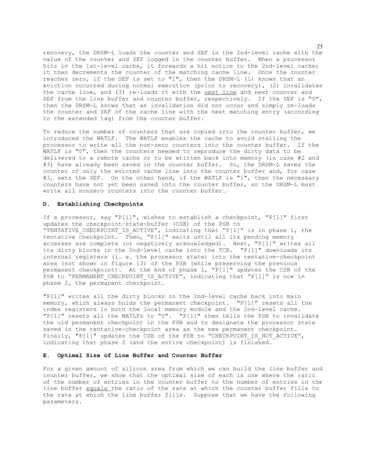recovery, the DRSM-L loads the counter and SEF in the 2nd-level cache with the value of the counter and SEF logged in the counter buffer. When a processor hits in the 1st-level cache, it forwards a hit notice to the 2nd-level cache; it then decrements the counter of the matching cache line. Once the counter reaches zero, if the SEF is set to "1", then the DRSM-L (1) knows that an eviction occurred during normal execution (prior to recovery), (2) invalidates the cache line, and (3) re-loads it with the next line and next counter and SEF from the line buffer and counter buffer, respectively. If the SEF is "0", then the DRSM-L knows that an invalidation did not occur and simply re-loads the counter and SEF of the cache line with the next matching entry (according to the extended tag) from the counter buffer.

To reduce the number of counters that are copied into the counter buffer, we introduced the WATLF. The WATLF enables the cache to avoid stalling the processor to write all the non-zero counters into the counter buffer. If the WATLF is "0", then the counters needed to reproduce the dirty data to be delivered to a remote cache or to be written back into memory (in case #2 and #3) have already been saved in the counter buffer. So, the DRSM-L saves the counter of only the evicted cache line into the counter buffer and, for case #3, sets the SEF. On the other hand, if the WATLF is "1", then the necessary counters have not yet been saved into the counter buffer, so the DRSM-L must write all nonzero counters into the counter buffer.

# **D. Establishing Checkpoints**

If a processor, say "P[1]", wishes to establish a checkpoint, "P[1]" first updates the checkpoint-state-buffer (CSB) of the PSB to "TENTATIVE\_CHECKPOINT\_IS\_ACTIVE", indicating that "P[1]" is in phase 1, the tentative checkpoint. Then, "P[1]" waits until all its pending memory accesses are complete (or negatively acknowledged). Next, "P[1]" writes all its dirty blocks in the 2nd-level cache into the TCB. "P[1]" downloads its internal registers (i. e. the processor state) into the tentative-checkpoint area (not shown in figure 13) of the PSB (while preserving the previous permanent checkpoint). At the end of phase 1, "P[1]" updates the CSB of the PSB to "PERMANENT CHECKPOINT IS ACTIVE", indicating that "P[1]" is now in phase 2, the permanent checkpoint.

"P[1]" writes all the dirty blocks in the 2nd-level cache back into main memory, which always holds the permanent checkpoint. "P[1]" resets all the index registers in both the local memory module and the 2nd-level cache. "P[1]" resets all the WATLFs to "0". "P[1]" then tells the PSB to invalidate the old permanent checkpoint in the PSB and to designate the processor state saved in the tentative-checkpoint area as the new permanent checkpoint. Finally, "P[1]" updates the CSB of the PSB to "CHECKPOINT IS NOT ACTIVE", indicating that phase 2 (and the entire checkpoint) is finished.

# **E. Optimal Size of Line Buffer and Counter Buffer**

For a given amount of silicon area from which we can build the line buffer and counter buffer, we show that the optimal size of each is one where the ratio of the number of entries in the counter buffer to the number of entries in the line buffer equals the ratio of the rate at which the counter buffer fills to the rate at which the line buffer fills. Suppose that we have the following parameters.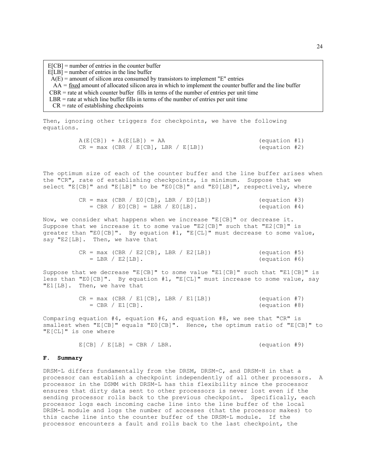$E[CB] =$  number of entries in the counter buffer  $E[LB]$  = number of entries in the line buffer  $\overline{A(E)}$  = amount of silicon area consumed by transistors to implement "E" entries  $AA = \frac{fixed}{}$  amount of allocated silicon area in which to implement the counter buffer and the line buffer $CBR =$  rate at which counter buffer fills in terms of the number of entries per unit time  $LBR$  = rate at which line buffer fills in terms of the number of entries per unit time  $CR = rate of establishing checkpoints$ 

Then, ignoring other triggers for checkpoints, we have the following equations.

```
A(E[CB]) + A(E[LB]) = AA (equation #1)<br>
CR = max (CBR / E[CB], LBR / E[LB]) (equation #2)
CR = max (CBR / E[CB], LBR / E[LB])
```
The optimum size of each of the counter buffer and the line buffer arises when the "CR", rate of establishing checkpoints, is minimum. Suppose that we select "E[CB]" and "E[LB]" to be "E0[CB]" and "E0[LB]", respectively, where

```
CR = max (CBR / E0[CB], LBR / E0[LB]) (equation #3)<br>= CBR / E0[CB] = LBR / E0[LB]. (equation #4)
   = CBR / E0[CB] = LBR / E0[LB].
```
Now, we consider what happens when we increase "E[CB]" or decrease it. Suppose that we increase it to some value "E2[CB]" such that "E2[CB]" is greater than "E0[CB]". By equation #1, "E[CL]" must decrease to some value, say "E2[LB]. Then, we have that

| $CR = max (CBR / E2[CB], LBR / E2[LB])$ |  |  | (equation #5) |  |
|-----------------------------------------|--|--|---------------|--|
| $=$ LBR / E2[LB].                       |  |  | (equation #6) |  |

Suppose that we decrease "E[CB]" to some value "E1[CB]" such that "E1[CB]" is less than "E0[CB]". By equation #1, "E[CL]" must increase to some value, say "E1[LB]. Then, we have that

> $CR = max (CBR / E1[CB], LBR / E1[LB])$  (equation #7)<br>= CBR / E1[CB]. (equation #8)  $=$  CBR / E1[CB].

Comparing equation #4, equation #6, and equation #8, we see that "CR" is smallest when "E[CB]" equals "E0[CB]". Hence, the optimum ratio of "E[CB]" to "E[CL]" is one where

 $E[CB] / E[LB] = CBR / LBR.$  (equation #9)

#### **F. Summary**

DRSM-L differs fundamentally from the DRSM, DRSM-C, and DRSM-H in that a processor can establish a checkpoint independently of all other processors. A processor in the DSMM with DRSM-L has this flexibility since the processor ensures that dirty data sent to other processors is never lost even if the sending processor rolls back to the previous checkpoint. Specifically, each processor logs each incoming cache line into the line buffer of the local DRSM-L module and logs the number of accesses (that the processor makes) to this cache line into the counter buffer of the DRSM-L module. If the processor encounters a fault and rolls back to the last checkpoint, the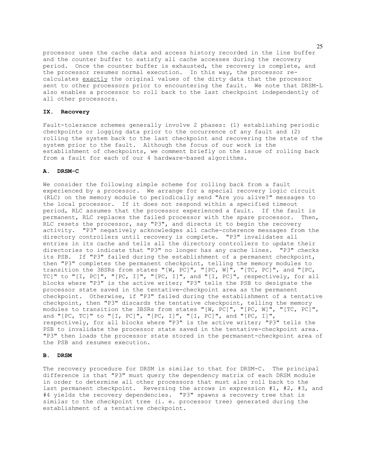processor uses the cache data and access history recorded in the line buffer and the counter buffer to satisfy all cache accesses during the recovery period. Once the counter buffer is exhausted, the recovery is complete, and the processor resumes normal execution. In this way, the processor recalculates exactly the original values of the dirty data that the processor sent to other processors prior to encountering the fault. We note that DRSM-L also enables a processor to roll back to the last checkpoint independently of all other processors.

#### **IX. Recovery**

Fault-tolerance schemes generally involve 2 phases: (1) establishing periodic checkpoints or logging data prior to the occurrence of any fault and (2) rolling the system back to the last checkpoint and recovering the state of the system prior to the fault. Although the focus of our work is the establishment of checkpoints, we comment briefly on the issue of rolling back from a fault for each of our 4 hardware-based algorithms.

# **A. DRSM-C**

We consider the following simple scheme for rolling back from a fault experienced by a processor. We arrange for a special recovery logic circuit (RLC) on the memory module to periodically send "Are you alive?" messages to the local processor. If it does not respond within a specified timeout period, RLC assumes that the processor experienced a fault. If the fault is permanent, RLC replaces the failed processor with the spare processor. Then, RLC resets the processor, say "P3", and directs it to begin the recovery activity. "P3" negatively acknowledges all cache-coherence messages from the directory controllers until recovery is complete. "P3" invalidates all entries in its cache and tells all the directory controllers to update their directories to indicate that "P3" no longer has any cache lines. "P3" checks its PSB. If "P3" failed during the establishment of a permanent checkpoint, then "P3" completes the permanent checkpoint, telling the memory modules to transition the 3BSRs from states "[W, PC]", "[PC, W]", "[TC, PC]", and "[PC, TC]" to "[I, PC]", "[PC, I]", "[PC, I]", and "[I, PC]", respectively, for all blocks where "P3" is the active writer; "P3" tells the PSB to designate the processor state saved in the tentative-checkpoint area as the permanent checkpoint. Otherwise, if "P3" failed during the establishment of a tentative checkpoint, then "P3" discards the tentative checkpoint, telling the memory modules to transition the 3BSRs from states "[W, PC]", "[PC, W]", "[TC, PC]", and "[PC, TC]" to "[I, PC]", "[PC, I]", "[I, PC]", and "[PC, I]", respectively, for all blocks where "P3" is the active writer; "P3" tells the PSB to invalidate the processor state saved in the tentative-checkpoint area. "P3" then loads the processor state stored in the permanent-checkpoint area of the PSB and resumes execution.

## **B. DRSM**

The recovery procedure for DRSM is similar to that for DRSM-C. The principal difference is that "P3" must query the dependency matrix of each DRSM module in order to determine all other processors that must also roll back to the last permanent checkpoint. Reversing the arrows in expression #1, #2, #3, and #4 yields the recovery dependencies. "P3" spawns a recovery tree that is similar to the checkpoint tree (i. e. processor tree) generated during the establishment of a tentative checkpoint.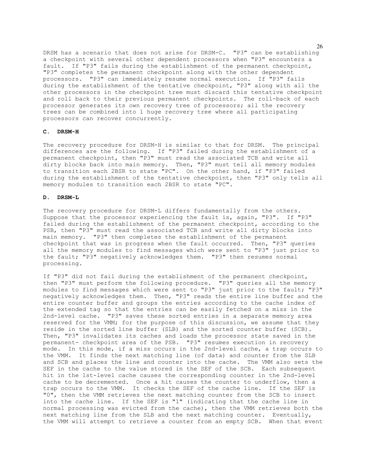DRSM has a scenario that does not arise for DRSM-C. "P3" can be establishing a checkpoint with several other dependent processors when "P3" encounters a fault. If "P3" fails during the establishment of the permanent checkpoint, "P3" completes the permanent checkpoint along with the other dependent processors. "P3" can immediately resume normal execution. If "P3" fails during the establishment of the tentative checkpoint, "P3" along with all the other processors in the checkpoint tree must discard this tentative checkpoint and roll back to their previous permanent checkpoints. The roll-back of each processor generates its own recovery tree of processors; all the recovery trees can be combined into 1 huge recovery tree where all participating processors can recover concurrently.

# **C. DRSM-H**

The recovery procedure for DRSM-H is similar to that for DRSM. The principal differences are the following. If "P3" failed during the establishment of a permanent checkpoint, then "P3" must read the associated TCB and write all dirty blocks back into main memory. Then, "P3" must tell all memory modules to transition each 2BSR to state "PC". On the other hand, if "P3" failed during the establishment of the tentative checkpoint, then "P3" only tells all memory modules to transition each 2BSR to state "PC".

# **D. DRSM-L**

The recovery procedure for DRSM-L differs fundamentally from the others. Suppose that the processor experiencing the fault is, again, "P3". If "P3" failed during the establishment of the permanent checkpoint, according to the PSB, then "P3" must read the associated TCB and write all dirty blocks into main memory. "P3" then completes the establishment of the permanent checkpoint that was in progress when the fault occurred. Then, "P3" queries all the memory modules to find messages which were sent to "P3" just prior to the fault; "P3" negatively acknowledges them. "P3" then resumes normal processing.

If "P3" did not fail during the establishment of the permanent checkpoint, then "P3" must perform the following procedure. "P3" queries all the memory modules to find messages which were sent to "P3" just prior to the fault; "P3" negatively acknowledges them. Then, "P3" reads the entire line buffer and the entire counter buffer and groups the entries according to the cache index of the extended tag so that the entries can be easily fetched on a miss in the 2nd-level cache. "P3" saves these sorted entries in a separate memory area reserved for the VMM; for the purpose of this discussion, we assume that they reside in the sorted line buffer (SLB) and the sorted counter buffer (SCB). Then, "P3" invalidates its caches and loads the processor state saved in the permanent- checkpoint area of the PSB. "P3" resumes execution in recovery mode. In this mode, if a miss occurs in the 2nd-level cache, a trap occurs to the VMM. It finds the next matching line (of data) and counter from the SLB and SCB and places the line and counter into the cache. The VMM also sets the SEF in the cache to the value stored in the SEF of the SCB. Each subsequent hit in the 1st-level cache causes the corresponding counter in the 2nd-level cache to be decremented. Once a hit causes the counter to underflow, then a trap occurs to the VMM. It checks the SEF of the cache line. If the SEF is "0", then the VMM retrieves the next matching counter from the SCB to insert into the cache line. If the SEF is "1" (indicating that the cache line in normal processing was evicted from the cache), then the VMM retrieves both the next matching line from the SLB and the next matching counter. Eventually, the VMM will attempt to retrieve a counter from an empty SCB. When that event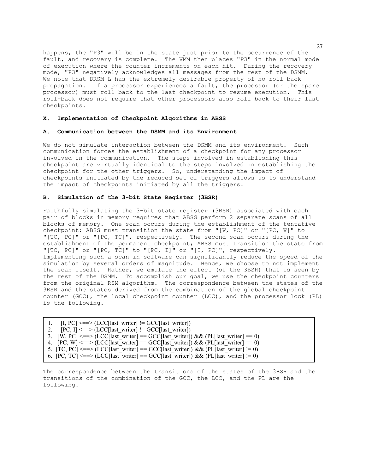happens, the "P3" will be in the state just prior to the occurrence of the fault, and recovery is complete. The VMM then places "P3" in the normal mode of execution where the counter increments on each hit. During the recovery mode, "P3" negatively acknowledges all messages from the rest of the DSMM. We note that DRSM-L has the extremely desirable property of no roll-back propagation. If a processor experiences a fault, the processor (or the spare processor) must roll back to the last checkpoint to resume execution. This roll-back does not require that other processors also roll back to their last checkpoints.

# **X. Implementation of Checkpoint Algorithms in ABSS**

# **A. Communication between the DSMM and its Environment**

We do not simulate interaction between the DSMM and its environment. Such communication forces the establishment of a checkpoint for any processor involved in the communication. The steps involved in establishing this checkpoint are virtually identical to the steps involved in establishing the checkpoint for the other triggers. So, understanding the impact of checkpoints initiated by the reduced set of triggers allows us to understand the impact of checkpoints initiated by all the triggers.

# **B. Simulation of the 3-bit State Register (3BSR)**

Faithfully simulating the 3-bit state register (3BSR) associated with each pair of blocks in memory requires that ABSS perform 2 separate scans of all blocks of memory. One scan occurs during the establishment of the tentative checkpoint; ABSS must transition the state from "[W, PC]" or "[PC, W]" to "[TC, PC]" or "[PC, TC]", respectively. The second scan occurs during the establishment of the permanent checkpoint; ABSS must transition the state from "[TC, PC]" or "[PC, TC]" to "[PC, I]" or "[I, PC]", respectively. Implementing such a scan in software can significantly reduce the speed of the simulation by several orders of magnitude. Hence, we choose to not implement the scan itself. Rather, we emulate the effect (of the 3BSR) that is seen by the rest of the DSMM. To accomplish our goal, we use the checkpoint counters from the original RSM algorithm. The correspondence between the states of the 3BSR and the states derived from the combination of the global checkpoint counter (GCC), the local checkpoint counter (LCC), and the processor lock (PL) is the following.

| 1. $[I, PC] \leq \Rightarrow (LCC[last writer] != GC[last writer])$                            |  |
|------------------------------------------------------------------------------------------------|--|
| 2. $[PC, I] \leq \Rightarrow [LCC[last writer] != GC[last writer])$                            |  |
| 3. [W, PC] $\leq =\geq$ (LCC[last writer] == GCC[last writer]) && (PL[last writer] == 0)       |  |
| 4. $[PC, W] \leq P(X)$ = (LCC [last writer] = GCC [last writer]) & & (PL [last writer] = 0)    |  |
| 5. [TC, PC] $\leq =\geq$ (LCC[last writer] == GCC[last writer]) && (PL[last writer] != 0)      |  |
| 6. $[PC, TC] \leq \equiv \geq (LCC[last writer] = GCC[last writer]) \& (PL[last writer] != 0)$ |  |

The correspondence between the transitions of the states of the 3BSR and the transitions of the combination of the GCC, the LCC, and the PL are the following.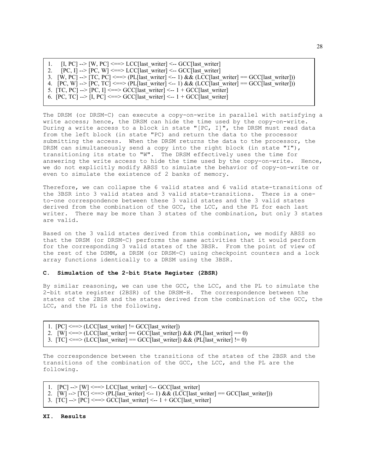1.  $[I, PC] \rightarrow [W, PC] \iff LCC[last writer] \iff GCC[last writer]$ 2.  $[PC, I] \rightarrow [PC, W] \iff LCC[last writer] \iff GCC[last writer]$ 3.  $[W, PC] \rightarrow [TC, PC] \ll \gg [PL]$ last writer] < -1) & & (LCC[last writer] \equiv \llbracket GCC[last writer])4.  $[PC, W] \rightarrow [PC, TC] \Longleftrightarrow (PL[last writer] \Longleftrightarrow 1) \& (LCC[last writer] == GCC[last writer]))$ 5.  $[TC, PC] \rightarrow [PC, I] \Longleftrightarrow GCC[last writer] \Longleftarrow 1 + GCC[last writer]$ 6.  $[PC, TC] \rightarrow [I, PC] \iff GCC[last writer] \iff 1 + GCC[last writer]$ 

The DRSM (or DRSM-C) can execute a copy-on-write in parallel with satisfying a write access; hence, the DRSM can hide the time used by the copy-on-write. During a write access to a block in state "[PC, I]", the DRSM must read data from the left block (in state "PC) and return the data to the processor submitting the access. When the DRSM returns the data to the processor, the DRSM can simultaneously send a copy into the right block (in state "I"), transitioning its state to "W". The DRSM effectively uses the time for answering the write access to hide the time used by the copy-on-write. Hence, we do not explicitly modify ABSS to simulate the behavior of copy-on-write or even to simulate the existence of 2 banks of memory.

Therefore, we can collapse the 6 valid states and 6 valid state-transitions of the 3BSR into 3 valid states and 3 valid state-transitions. There is a oneto-one correspondence between these 3 valid states and the 3 valid states derived from the combination of the GCC, the LCC, and the PL for each last writer. There may be more than 3 states of the combination, but only 3 states are valid.

Based on the 3 valid states derived from this combination, we modify ABSS so that the DRSM (or DRSM-C) performs the same activities that it would perform for the corresponding 3 valid states of the 3BSR. From the point of view of the rest of the DSMM, a DRSM (or DRSM-C) using checkpoint counters and a lock array functions identically to a DRSM using the 3BSR.

#### **C. Simulation of the 2-bit State Register (2BSR)**

By similar reasoning, we can use the GCC, the LCC, and the PL to simulate the 2-bit state register (2BSR) of the DRSM-H. The correspondence between the states of the 2BSR and the states derived from the combination of the GCC, the LCC, and the PL is the following.

1.  $[PC] \leq \Rightarrow$  (LCC[last writer] != GCC[last writer]) 2. [W]  $\langle \text{2} \rangle = \langle \text{LCC} | \text{last writer} | = \text{GCC} | \text{last writer} | \text{back (PL)} | \text{last writer} | = 0 \rangle$ 3.  $[TC] \leq \equiv > (LCC[last writer] = GCC[last writer]) \& QPL[last writer] = 0)$ 

The correspondence between the transitions of the states of the 2BSR and the transitions of the combination of the GCC, the LCC, and the PL are the following.

1.  $[PC]$  -->  $[W] \leq P$  = LCC[last writer]  $\leq$  -- GCC[last writer] 2. [W] -->  $|TC| \leq P(E[last writer] <- 1) \& (LCC[last writer] = GCC[last writer]))$ 3.  $[TC] \rightarrow [PC] \iff GCC[last writer] \iff 1 + GCC[last writer]$ 

# **XI. Results**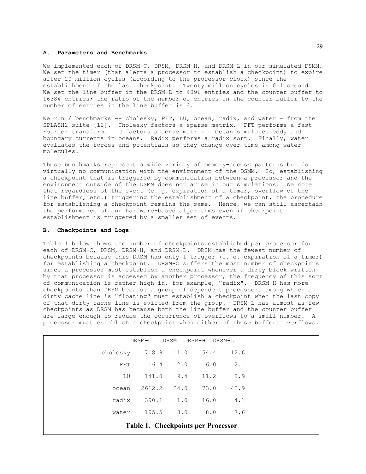## **A. Parameters and Benchmarks**

We implemented each of DRSM-C, DRSM, DRSM-H, and DRSM-L in our simulated DSMM. We set the timer (that alerts a processor to establish a checkpoint) to expire after 20 million cycles (according to the processor clock) since the establishment of the last checkpoint. Twenty million cycles is 0.1 second. We set the line buffer in the DRSM-L to 4096 entries and the counter buffer to 16384 entries; the ratio of the number of entries in the counter buffer to the number of entries in the line buffer is 4.

We run 6 benchmarks -- cholesky, FFT, LU, ocean, radix, and water  $-$  from the SPLASH2 suite [12]. Cholesky factors a sparse matrix. FFT performs a fast Fourier transform. LU factors a dense matrix. Ocean simulates eddy and boundary currents in oceans. Radix performs a radix sort. Finally, water evaluates the forces and potentials as they change over time among water molecules.

These benchmarks represent a wide variety of memory-access patterns but do virtually no communication with the environment of the DSMM. So, establishing a checkpoint that is triggered by communication between a processor and the environment outside of the DSMM does not arise in our simulations. We note that regardless of the event (e. g. expiration of a timer, overflow of the line buffer, etc.) triggering the establishment of a checkpoint, the procedure for establishing a checkpoint remains the same. Hence, we can still ascertain the performance of our hardware-based algorithms even if checkpoint establishment is triggered by a smaller set of events.

#### **B. Checkpoints and Logs**

Table 1 below shows the number of checkpoints established per processor for each of DRSM-C, DRSM, DRSM-H, and DRSM-L. DRSM has the fewest number of checkpoints because this DRSM has only 1 trigger (i. e. expiration of a timer) for establishing a checkpoint. DRSM-C suffers the most number of checkpoints since a processor must establish a checkpoint whenever a dirty block written by that processor is accessed by another processor; the frequency of this sort of communication is rather high in, for example, "radix". DRSM-H has more checkpoints than DRSM because a group of dependent processors among which a dirty cache line is "floating" must establish a checkpoint when the last copy of that dirty cache line is evicted from the group. DRSM-L has almost as few checkpoints as DRSM has because both the line buffer and the counter buffer are large enough to reduce the occurrence of overflows to a small number. A processor must establish a checkpoint when either of these buffers overflows.

| DRSM<br>DRSM-C<br>DRSM-H<br>DRSM-L        |                          |        |                |     |      |  |
|-------------------------------------------|--------------------------|--------|----------------|-----|------|--|
|                                           | cholesky 718.8 11.0 54.4 |        |                |     | 12.6 |  |
|                                           | <b>FFT</b>               |        | $16.4$ $2.0$   | 6.0 | 2.1  |  |
|                                           | LU                       | 141.0  | $9.4$ 11.2     |     | 8.9  |  |
|                                           | ocean                    | 2612.2 | 24.0 73.0      |     | 42.9 |  |
|                                           | radix                    |        | 390.1 1.0 16.0 |     | 4.1  |  |
|                                           | water                    | 195.5  | $8.0$ $8.0$    |     | 7.6  |  |
| <b>Table 1. Checkpoints per Processor</b> |                          |        |                |     |      |  |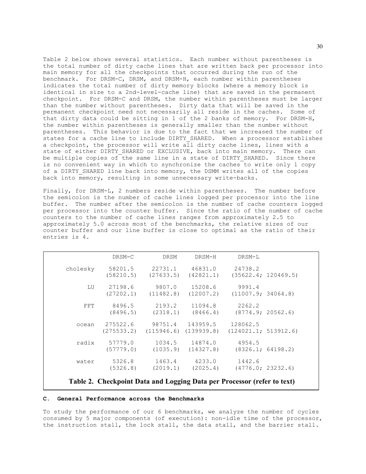Table 2 below shows several statistics. Each number without parentheses is the total number of dirty cache lines that are written back per processor into main memory for all the checkpoints that occurred during the run of the benchmark. For DRSM-C, DRSM, and DRSM-H, each number within parentheses indicates the total number of dirty memory blocks (where a memory block is identical in size to a 2nd-level-cache line) that are saved in the permanent checkpoint. For DRSM-C and DRSM, the number within parentheses must be larger than the number without parentheses. Dirty data that will be saved in the permanent checkpoint need not necessarily all reside in the caches. Some of that dirty data could be sitting in 1 of the 2 banks of memory. For DRSM-H, the number within parentheses is generally smaller than the number without parentheses. This behavior is due to the fact that we increased the number of states for a cache line to include DIRTY SHARED. When a processor establishes a checkpoint, the processor will write all dirty cache lines, lines with a state of either DIRTY SHARED or EXCLUSIVE, back into main memory. There can be multiple copies of the same line in a state of DIRTY SHARED. Since there is no convenient way in which to synchronize the caches to write only 1 copy of a DIRTY SHARED line back into memory, the DSMM writes all of the copies back into memory, resulting in some unnecessary write-backs.

Finally, for DRSM-L, 2 numbers reside within parentheses. The number before the semicolon is the number of cache lines logged per processor into the line buffer. The number after the semicolon is the number of cache counters logged per processor into the counter buffer. Since the ratio of the number of cache counters to the number of cache lines ranges from approximately 2.5 to approximately 5.0 across most of the benchmarks, the relative sizes of our counter buffer and our line buffer is close to optimal as the ratio of their entries is 4.

|          | DRSM-C               | DRSM                                                                               | DRSM-H                      | DRSM-L                                              |                     |
|----------|----------------------|------------------------------------------------------------------------------------|-----------------------------|-----------------------------------------------------|---------------------|
| cholesky | 58201.5<br>(58210.5) | 22731.1 46831.0<br>(27633.5)                                                       | (42821.1)                   | 24738.2                                             | (35622.4; 120469.5) |
| LU       |                      | 27198.6 9807.0 15208.6<br>$(27202.1)$ $(11482.8)$ $(12007.2)$ $(11007.9; 34064.8)$ |                             | 9991.4                                              |                     |
| FFT.     | 8496.5<br>(8496.5)   | 2193.2                                                                             | 11094.8                     | 2262.2<br>$(2318.1)$ $(8466.4)$ $(8774.9; 20562.6)$ |                     |
| ocean    | 275522.6             | $(275533.2)$ $(115946.6)$ $(139939.8)$ $(124021.1; 513912.6)$                      | 98751.4 143959.5 128062.5   |                                                     |                     |
| radix    | 57779.0<br>(57779.0) | (1035.9)                                                                           | 1034.5 14874.0<br>(14327.8) | 4954.5                                              | (8326.1; 64198.2)   |
| water    | 5326.8<br>(5326.8)   |                                                                                    | 1463.4 4233.0               | 1442.6<br>$(2019.1)$ $(2025.4)$ $(4776.0; 23232.6)$ |                     |

**Table 2. Checkpoint Data and Logging Data per Processor (refer to text)**

# **C. General Performance across the Benchmarks**

To study the performance of our 6 benchmarks, we analyze the number of cycles consumed by 5 major components (of execution): non-idle time of the processor, the instruction stall, the lock stall, the data stall, and the barrier stall.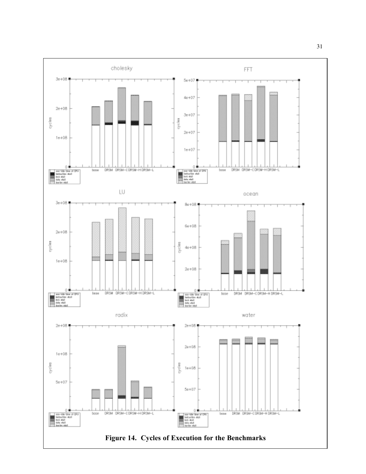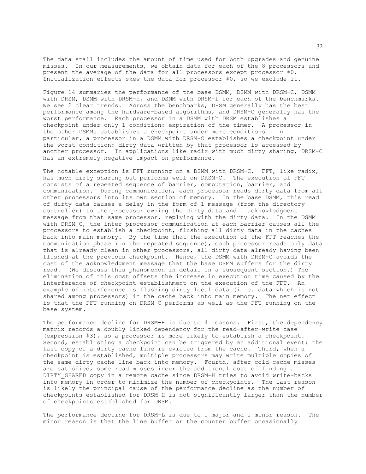The data stall includes the amount of time used for both upgrades and genuine misses. In our measurements, we obtain data for each of the 8 processors and present the average of the data for all processors except processor #0. Initialization effects skew the data for processor #0, so we exclude it.

Figure 14 summaries the performance of the base DSMM, DSMM with DRSM-C, DSMM with DRSM, DSMM with DRSM-H, and DSMM with DRSM-L for each of the benchmarks. We see 2 clear trends. Across the benchmarks, DRSM generally has the best performance among the hardware-based algorithms, and DRSM-C generally has the worst performance. Each processor in a DSMM with DRSM establishes a checkpoint under only 1 condition: expiration of the timer. A processor in the other DSMMs establishes a checkpoint under more conditions. In particular, a processor in a DSMM with DRSM-C establishes a checkpoint under the worst condition: dirty data written by that processor is accessed by another processor. In applications like radix with much dirty sharing, DRSM-C has an extremely negative impact on performance.

The notable exception is FFT running on a DSMM with DRSM-C. FFT, like radix, has much dirty sharing but performs well on DRSM-C. The execution of FFT consists of a repeated sequence of barrier, computation, barrier, and communication. During communication, each processor reads dirty data from all other processors into its own section of memory. In the base DSMM, this read of dirty data causes a delay in the form of 1 message (from the directory controller) to the processor owning the dirty data and 1 acknowledgment message from that same processor, replying with the dirty data. In the DSMM with DRSM-C, the inter-processor communication at each barrier causes all the processors to establish a checkpoint, flushing all dirty data in the caches back into main memory. By the time that the execution of the FFT reaches the communication phase (in the repeated sequence), each processor reads only data that is already clean in other processors, all dirty data already having been flushed at the previous checkpoint. Hence, the DSMM with DRSM-C avoids the cost of the acknowledgment message that the base DSMM suffers for the dirty read. (We discuss this phenomenon in detail in a subsequent section.) The elimination of this cost offsets the increase in execution time caused by the interference of checkpoint establishment on the execution of the FFT. An example of interference is flushing dirty local data (i. e. data which is not shared among processors) in the cache back into main memory. The net effect is that the FFT running on DRSM-C performs as well as the FFT running on the base system.

The performance decline for DRSM-H is due to 4 reasons. First, the dependency matrix records a doubly linked dependency for the read-after-write case (expression #3), so a processor is more likely to establish a checkpoint. Second, establishing a checkpoint can be triggered by an additional event: the last copy of a dirty cache line is evicted from the cache. Third, when a checkpoint is established, multiple processors may write multiple copies of the same dirty cache line back into memory. Fourth, after cold-cache misses are satisfied, some read misses incur the additional cost of finding a DIRTY SHARED copy in a remote cache since DRSM-H tries to avoid write-backs into memory in order to minimize the number of checkpoints. The last reason is likely the principal cause of the performance decline as the number of checkpoints established for DRSM-H is not significantly larger than the number of checkpoints established for DRSM.

The performance decline for DRSM-L is due to 1 major and 1 minor reason. The minor reason is that the line buffer or the counter buffer occasionally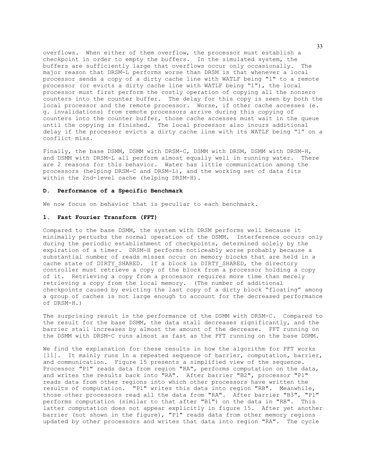overflows. When either of them overflow, the processor must establish a checkpoint in order to empty the buffers. In the simulated system, the buffers are sufficiently large that overflows occur only occasionally. The major reason that DRSM-L performs worse than DRSM is that whenever a local processor sends a copy of a dirty cache line with WATLF being "1" to a remote processor (or evicts a dirty cache line with WATLF being "1"), the local processor must first perform the costly operation of copying all the nonzero counters into the counter buffer. The delay for this copy is seen by both the local processor and the remote processor. Worse, if other cache accesses (e. g. invalidations) from remote processors arrive during this copying of counters into the counter buffer, those cache accesses must wait in the queue until the copying is finished. The local processor also incurs additional delay if the processor evicts a dirty cache line with its WATLF being "1" on a conflict miss.

Finally, the base DSMM, DSMM with DRSM-C, DSMM with DRSM, DSMM with DRSM-H, and DSMM with DRSM-L all perform almost equally well in running water. There are 2 reasons for this behavior. Water has little communication among the processors (helping DRSM-C and DRSM-L), and the working set of data fits within the 2nd-level cache (helping DRSM-H).

#### **D. Performance of a Specific Benchmark**

We now focus on behavior that is peculiar to each benchmark.

#### **1. Fast Fourier Transform (FFT)**

Compared to the base DSMM, the system with DRSM performs well because it minimally perturbs the normal operation of the DSMM. Interference occurs only during the periodic establishment of checkpoints, determined solely by the expiration of a timer. DRSM-H performs noticeably worse probably because a substantial number of reads misses occur on memory blocks that are held in a cache state of DIRTY SHARED. If a block is DIRTY SHARED, the directory controller must retrieve a copy of the block from a processor holding a copy of it. Retrieving a copy from a processor requires more time than merely retrieving a copy from the local memory. (The number of additional checkpoints caused by evicting the last copy of a dirty block "floating" among a group of caches is not large enough to account for the decreased performance of DRSM-H.)

The surprising result is the performance of the DSMM with DRSM-C. Compared to the result for the base DSMM, the data stall decreases significantly, and the barrier stall increases by almost the amount of the decrease. FFT running on the DSMM with DRSM-C runs almost as fast as the FFT running on the base DSMM.

We find the explanation for these results in how the algorithm for FFT works [11]. It mainly runs in a repeated sequence of barrier, computation, barrier, and communication. Figure 15 presents a simplified view of the sequence. Processor "P1" reads data from region "RA", performs computation on the data, and writes the results back into "RA". After barrier "B2", processor "P1" reads data from other regions into which other processors have written the results of computation. "P1" writes this data into region "RB". Meanwhile, those other processors read all the data from "RA". After barrier "B3", "P1" performs computation (similar to that after "B1") on the data in "RB". This latter computation does not appear explicitly in figure 15. After yet another barrier (not shown in the figure), "P1" reads data from other memory regions updated by other processors and writes that data into region "RA". The cycle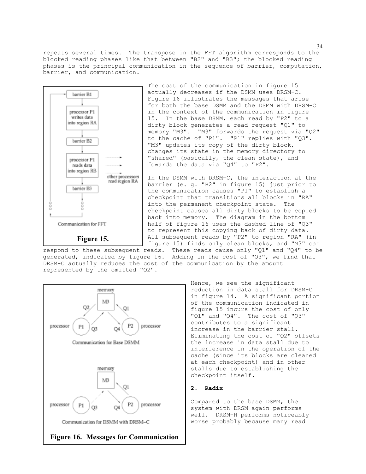repeats several times. The transpose in the FFT algorithm corresponds to the blocked reading phases like that between "B2" and "B3"; the blocked reading phases is the principal communication in the sequence of barrier, computation, barrier, and communication.



The cost of the communication in figure 15 actually decreases if the DSMM uses DRSM-C. Figure 16 illustrates the messages that arise for both the base DSMM and the DSMM with DRSM-C in the context of the communication in figure 15. In the base DSMM, each read by "P2" to a dirty block generates a read request "Q1" to memory "M3". "M3" forwards the request via "Q2" to the cache of "P1". "P1" replies with "Q3". "M3" updates its copy of the dirty block, changes its state in the memory directory to "shared" (basically, the clean state), and fowards the data via "Q4" to "P2".

In the DSMM with DRSM-C, the interaction at the barrier (e. g. "B2" in figure 15) just prior to the communication causes "P1" to establish a checkpoint that transitions all blocks in "RA" into the permanent checkpoint state. The checkpoint causes all dirty blocks to be copied back into memory. The diagram in the bottom half of figure 16 uses the dashed line of "Q3" to represent this copying back of dirty data. All subsequent reads by "P2" to region "RA" (in figure 15) finds only clean blocks, and "M3" can

respond to these subsequent reads. These reads cause only "Q1" and "Q4" to be generated, indicated by figure 16. Adding in the cost of "Q3", we find that DRSM-C actually reduces the cost of the communication by the amount represented by the omitted "Q2".



Hence, we see the significant reduction in data stall for DRSM-C in figure 14. A significant portion of the communication indicated in figure 15 incurs the cost of only "Q1" and "Q4". The cost of "Q3" contributes to a significant increase in the barrier stall. Eliminating the cost of "Q2" offsets the increase in data stall due to interference in the operation of the cache (since its blocks are cleaned at each checkpoint) and in other stalls due to establishing the checkpoint itself.

#### **2. Radix**

Compared to the base DSMM, the system with DRSM again performs well. DRSM-H performs noticeably worse probably because many read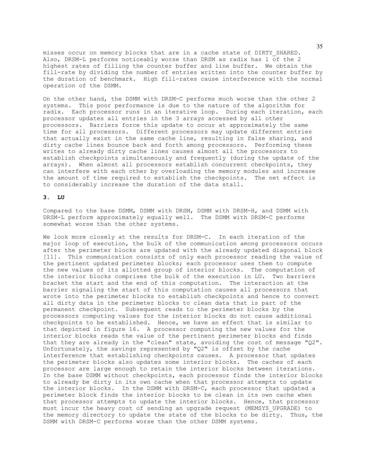misses occur on memory blocks that are in a cache state of DIRTY\_SHARED. Also, DRSM-L performs noticeably worse than DRSM as radix has 1 of the 2 highest rates of filling the counter buffer and line buffer. We obtain the fill-rate by dividing the number of entries written into the counter buffer by the duration of benchmark. High fill-rates cause interference with the normal operation of the DSMM.

On the other hand, the DSMM with DRSM-C performs much worse than the other 2 systems. This poor performance is due to the nature of the algorithm for radix. Each processor runs in an iterative loop. During each iteration, each processor updates all entries in the 3 arrays accessed by all other processors. Barriers force this update to occur at approximately the same time for all processors. Different processors may update different entries that actually exist in the same cache line, resulting in false sharing, and dirty cache lines bounce back and forth among processors. Performing these writes to already dirty cache lines causes almost all the processors to establish checkpoints simultaneously and frequently (during the update of the arrays). When almost all processors establish concurrent checkpoints, they can interfere with each other by overloading the memory modules and increase the amount of time required to establish the checkpoints. The net effect is to considerably increase the duration of the data stall.

## **3. LU**

Compared to the base DSMM, DSMM with DRSM, DSMM with DRSM-H, and DSMM with DRSM-L perform approximately equally well. The DSMM with DRSM-C performs somewhat worse than the other systems.

We look more closely at the results for DRSM-C. In each iteration of the major loop of execution, the bulk of the communication among processors occurs after the perimeter blocks are updated with the already updated diagonal block [11]. This communication consists of only each processor reading the value of the pertinent updated perimeter blocks; each processor uses them to compute the new values of its allotted group of interior blocks. The computation of the interior blocks comprises the bulk of the execution in LU. Two barriers bracket the start and the end of this computation. The interaction at the barrier signaling the start of this computation causes all processors that wrote into the perimeter blocks to establish checkpoints and hence to convert all dirty data in the perimeter blocks to clean data that is part of the permanent checkpoint. Subsequent reads to the perimeter blocks by the processors computing values for the interior blocks do not cause additional checkpoints to be established. Hence, we have an effect that is similar to that depicted in figure 16. A processor computing the new values for the interior blocks reads the value of the pertinent perimeter blocks and finds that they are already in the "clean" state, avoiding the cost of message "Q2". Unfortunately, the savings represented by " $Q2$ " is offset by the cache interference that establishing checkpoints causes. A processor that updates the perimeter blocks also updates some interior blocks. The caches of each processor are large enough to retain the interior blocks between iterations. In the base DSMM without checkpoints, each processor finds the interior blocks to already be dirty in its own cache when that processor attempts to update the interior blocks. In the DSMM with DRSM-C, each processor that updated a perimeter block finds the interior blocks to be clean in its own cache when that processor attempts to update the interior blocks. Hence, that processor must incur the heavy cost of sending an upgrade request (MEMSYS\_UPGRADE) to the memory directory to update the state of the blocks to be dirty. Thus, the DSMM with DRSM-C performs worse than the other DSMM systems.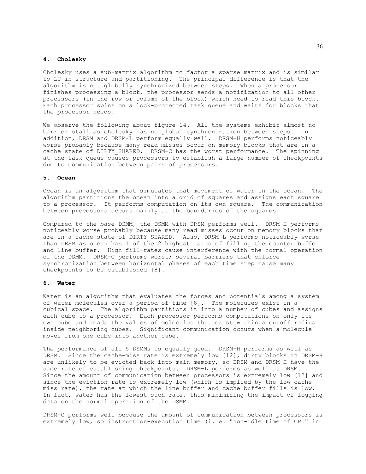# **4. Cholesky**

Cholesky uses a sub-matrix algorithm to factor a sparse matrix and is similar to LU in structure and partitioning. The principal difference is that the algorithm is not globally synchronized between steps. When a processor finishes processing a block, the processor sends a notification to all other processors (in the row or column of the block) which need to read this block. Each processor spins on a lock-protected task queue and waits for blocks that the processor needs.

We observe the following about figure 14. All the systems exhibit almost no barrier stall as cholesky has no global synchronization between steps. In addition, DRSM and DRSM-L perform equally well. DRSM-H performs noticeably worse probably because many read misses occur on memory blocks that are in a cache state of DIRTY SHARED. DRSM-C has the worst performance. The spinning at the task queue causes processors to establish a large number of checkpoints due to communication between pairs of processors.

#### **5. Ocean**

Ocean is an algorithm that simulates that movement of water in the ocean. The algorithm partitions the ocean into a grid of squares and assigns each square to a processor. It performs computation on its own square. The communication between processors occurs mainly at the boundaries of the squares.

Compared to the base DSMM, the DSMM with DRSM performs well. DRSM-H performs noticeably worse probably because many read misses occur on memory blocks that are in a cache state of DIRTY SHARED. Also, DRSM-L performs noticeably worse than DRSM as ocean has 1 of the 2 highest rates of filling the counter buffer and line buffer. High fill-rates cause interference with the normal operation of the DSMM. DRSM-C performs worst; several barriers that enforce synchronization between horizontal phases of each time step cause many checkpoints to be established [8].

# **6. Water**

Water is an algorithm that evaluates the forces and potentials among a system of water molecules over a period of time [8]. The molecules exist in a cubical space. The algorithm partitions it into a number of cubes and assigns each cube to a processor. Each processor performs computations on only its own cube and reads the values of molecules that exist within a cutoff radius inside neighboring cubes. Significant communication occurs when a molecule moves from one cube into another cube.

The performance of all 5 DSMMs is equally good. DRSM-H performs as well as DRSM. Since the cache-miss rate is extremely low [12], dirty blocks in DRSM-H are unlikely to be evicted back into main memory, so DRSM and DRSM-H have the same rate of establishing checkpoints. DRSM-L performs as well as DRSM. Since the amount of communication between processors is extremely low [12] and since the eviction rate is extremely low (which is implied by the low cachemiss rate), the rate at which the line buffer and cache buffer fills is low. In fact, water has the lowest such rate, thus minimizing the impact of logging data on the normal operation of the DSMM.

DRSM-C performs well because the amount of communication between processors is extremely low, so instruction-execution time (i. e. "non-idle time of CPU" in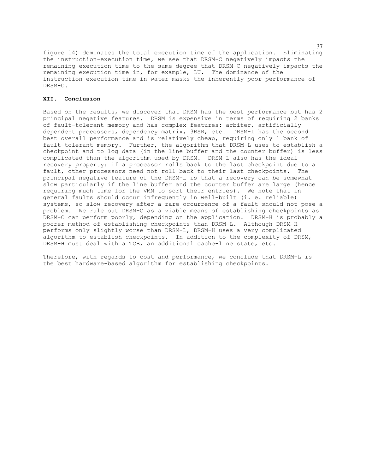figure 14) dominates the total execution time of the application. Eliminating the instruction-execution time, we see that DRSM-C negatively impacts the remaining execution time to the same degree that DRSM-C negatively impacts the remaining execution time in, for example, LU. The dominance of the instruction-execution time in water masks the inherently poor performance of DRSM-C.

# **XII. Conclusion**

Based on the results, we discover that DRSM has the best performance but has 2 principal negative features. DRSM is expensive in terms of requiring 2 banks of fault-tolerant memory and has complex features: arbiter, artificially dependent processors, dependency matrix, 3BSR, etc. DRSM-L has the second best overall performance and is relatively cheap, requiring only 1 bank of fault-tolerant memory. Further, the algorithm that DRSM-L uses to establish a checkpoint and to log data (in the line buffer and the counter buffer) is less complicated than the algorithm used by DRSM. DRSM-L also has the ideal recovery property: if a processor rolls back to the last checkpoint due to a fault, other processors need not roll back to their last checkpoints. The principal negative feature of the DRSM-L is that a recovery can be somewhat slow particularly if the line buffer and the counter buffer are large (hence requiring much time for the VMM to sort their entries). We note that in general faults should occur infrequently in well-built (i. e. reliable) systems, so slow recovery after a rare occurrence of a fault should not pose a problem. We rule out DRSM-C as a viable means of establishing checkpoints as DRSM-C can perform poorly, depending on the application. DRSM-H is probably a poorer method of establishing checkpoints than DRSM-L. Although DRSM-H performs only slightly worse than DRSM-L, DRSM-H uses a very complicated algorithm to establish checkpoints. In addition to the complexity of DRSM, DRSM-H must deal with a TCB, an additional cache-line state, etc.

Therefore, with regards to cost and performance, we conclude that DRSM-L is the best hardware-based algorithm for establishing checkpoints.